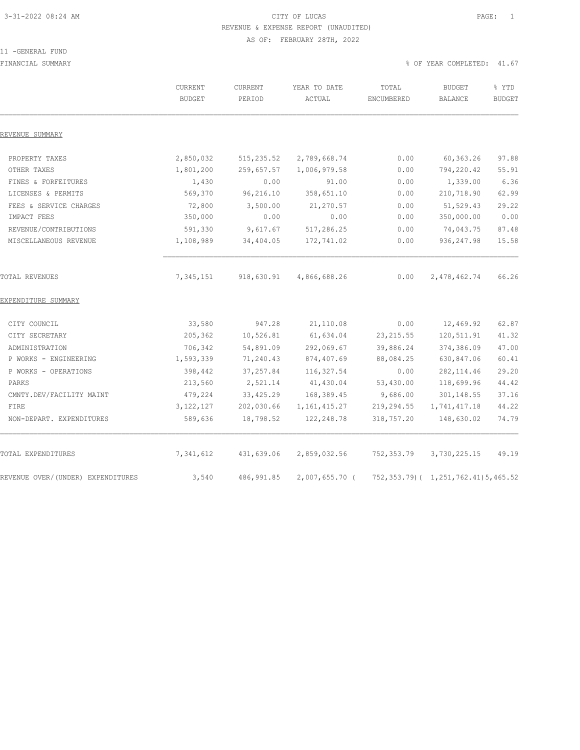### 3-31-2022 08:24 AM CITY OF LUCAS PAGE: 1 REVENUE & EXPENSE REPORT (UNAUDITED) AS OF: FEBRUARY 28TH, 2022

#### 11 -GENERAL FUND

FINANCIAL SUMMARY % OF YEAR COMPLETED: 41.67

|                                   | CURRENT<br><b>BUDGET</b> | CURRENT<br>PERIOD | YEAR TO DATE<br>ACTUAL | TOTAL<br>ENCUMBERED | <b>BUDGET</b><br><b>BALANCE</b>          | % YTD<br><b>BUDGET</b> |
|-----------------------------------|--------------------------|-------------------|------------------------|---------------------|------------------------------------------|------------------------|
| REVENUE SUMMARY                   |                          |                   |                        |                     |                                          |                        |
| PROPERTY TAXES                    | 2,850,032                | 515, 235.52       | 2,789,668.74           | 0.00                | 60,363.26                                | 97.88                  |
| OTHER TAXES                       | 1,801,200                | 259,657.57        | 1,006,979.58           | 0.00                | 794,220.42                               | 55.91                  |
| FINES & FORFEITURES               | 1,430                    | 0.00              | 91.00                  | 0.00                | 1,339.00                                 | 6.36                   |
| LICENSES & PERMITS                | 569,370                  | 96,216.10         | 358,651.10             | 0.00                | 210,718.90                               | 62.99                  |
| FEES & SERVICE CHARGES            | 72,800                   | 3,500.00          | 21,270.57              | 0.00                | 51,529.43                                | 29.22                  |
| IMPACT FEES                       | 350,000                  | 0.00              | 0.00                   | 0.00                | 350,000.00                               | 0.00                   |
| REVENUE/CONTRIBUTIONS             | 591,330                  | 9,617.67          | 517,286.25             | 0.00                | 74,043.75                                | 87.48                  |
| MISCELLANEOUS REVENUE             | 1,108,989                | 34,404.05         | 172,741.02             | 0.00                | 936, 247.98                              | 15.58                  |
| TOTAL REVENUES                    | 7,345,151                | 918,630.91        | 4,866,688.26           | 0.00                | 2,478,462.74                             | 66.26                  |
| EXPENDITURE SUMMARY               |                          |                   |                        |                     |                                          |                        |
| CITY COUNCIL                      | 33,580                   | 947.28            | 21,110.08              | 0.00                | 12,469.92                                | 62.87                  |
| CITY SECRETARY                    | 205,362                  | 10,526.81         | 61,634.04              | 23, 215.55          | 120,511.91                               | 41.32                  |
| ADMINISTRATION                    | 706,342                  | 54,891.09         | 292,069.67             | 39,886.24           | 374,386.09                               | 47.00                  |
| P WORKS - ENGINEERING             | 1,593,339                | 71,240.43         | 874, 407.69            | 88,084.25           | 630,847.06                               | 60.41                  |
| P WORKS - OPERATIONS              | 398,442                  | 37, 257.84        | 116, 327.54            | 0.00                | 282, 114.46                              | 29.20                  |
| PARKS                             | 213,560                  | 2,521.14          | 41,430.04              | 53,430.00           | 118,699.96                               | 44.42                  |
| CMNTY.DEV/FACILITY MAINT          | 479,224                  | 33, 425.29        | 168,389.45             | 9,686.00            | 301,148.55                               | 37.16                  |
| FIRE                              | 3, 122, 127              | 202,030.66        | 1, 161, 415.27         | 219,294.55          | 1,741,417.18                             | 44.22                  |
| NON-DEPART. EXPENDITURES          | 589,636                  | 18,798.52         | 122,248.78             | 318,757.20          | 148,630.02                               | 74.79                  |
| TOTAL EXPENDITURES                | 7,341,612                | 431,639.06        | 2,859,032.56           | 752,353.79          | 3,730,225.15                             | 49.19                  |
| REVENUE OVER/(UNDER) EXPENDITURES | 3,540                    | 486, 991.85       | 2,007,655.70 (         |                     | 752, 353.79) ( 1, 251, 762.41) 5, 465.52 |                        |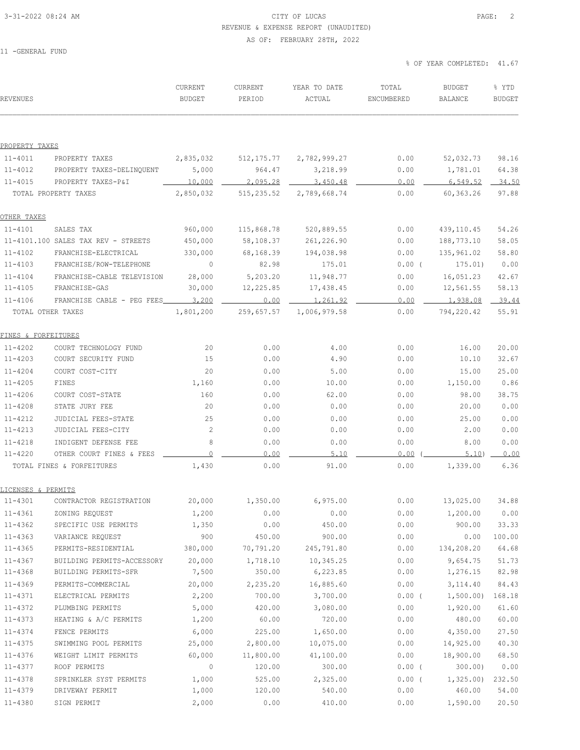### 3-31-2022 08:24 AM CITY OF LUCAS PAGE: 2 REVENUE & EXPENSE REPORT (UNAUDITED)

#### AS OF: FEBRUARY 28TH, 2022

11 -GENERAL FUND

| <b>REVENUES</b>     |                                     | CURRENT<br><b>BUDGET</b> | CURRENT<br>PERIOD | YEAR TO DATE<br>ACTUAL | TOTAL<br>ENCUMBERED | <b>BUDGET</b><br>BALANCE | % YTD<br><b>BUDGET</b> |
|---------------------|-------------------------------------|--------------------------|-------------------|------------------------|---------------------|--------------------------|------------------------|
|                     |                                     |                          |                   |                        |                     |                          |                        |
| PROPERTY TAXES      |                                     |                          |                   |                        |                     |                          |                        |
| $11 - 4011$         | PROPERTY TAXES                      | 2,835,032                | 512,175.77        | 2,782,999.27           | 0.00                | 52,032.73                | 98.16                  |
| 11-4012             | PROPERTY TAXES-DELINQUENT           | 5,000                    | 964.47            | 3,218.99               | 0.00                | 1,781.01                 | 64.38                  |
| $11 - 4015$         | PROPERTY TAXES-P&I                  | 10,000                   | 2,095.28          | 3,450.48               | 0.00                | 6,549.52                 | 34.50                  |
|                     | TOTAL PROPERTY TAXES                | 2,850,032                | 515, 235.52       | 2,789,668.74           | 0.00                | 60,363.26                | 97.88                  |
| OTHER TAXES         |                                     |                          |                   |                        |                     |                          |                        |
| $11 - 4101$         | SALES TAX                           | 960,000                  | 115,868.78        | 520,889.55             | 0.00                | 439,110.45               | 54.26                  |
|                     | 11-4101.100 SALES TAX REV - STREETS | 450,000                  | 58,108.37         | 261,226.90             | 0.00                | 188,773.10               | 58.05                  |
| $11 - 4102$         | FRANCHISE-ELECTRICAL                | 330,000                  | 68,168.39         | 194,038.98             | 0.00                | 135,961.02               | 58.80                  |
| $11 - 4103$         | FRANCHISE/ROW-TELEPHONE             | $\circ$                  | 82.98             | 175.01                 | $0.00$ (            | 175.01)                  | 0.00                   |
| $11 - 4104$         | FRANCHISE-CABLE TELEVISION          | 28,000                   | 5,203.20          | 11,948.77              | 0.00                | 16,051.23                | 42.67                  |
| $11 - 4105$         | FRANCHISE-GAS                       | 30,000                   | 12,225.85         | 17,438.45              | 0.00                | 12,561.55                | 58.13                  |
| $11 - 4106$         | FRANCHISE CABLE - PEG FEES          | 3,200                    | 0.00              | 1,261.92               | 0.00                | 1,938.08                 | 39.44                  |
| TOTAL OTHER TAXES   |                                     | 1,801,200                | 259,657.57        | 1,006,979.58           | 0.00                | 794,220.42               | 55.91                  |
| FINES & FORFEITURES |                                     |                          |                   |                        |                     |                          |                        |
| $11 - 4202$         | COURT TECHNOLOGY FUND               | 20                       | 0.00              | 4.00                   | 0.00                | 16.00                    | 20.00                  |
| $11 - 4203$         | COURT SECURITY FUND                 | 15                       | 0.00              | 4.90                   | 0.00                | 10.10                    | 32.67                  |
| $11 - 4204$         | COURT COST-CITY                     | 20                       | 0.00              | 5.00                   | 0.00                | 15.00                    | 25.00                  |
| $11 - 4205$         | FINES                               | 1,160                    | 0.00              | 10.00                  | 0.00                | 1,150.00                 | 0.86                   |
| $11 - 4206$         | COURT COST-STATE                    | 160                      | 0.00              | 62.00                  | 0.00                | 98.00                    | 38.75                  |
| $11 - 4208$         | STATE JURY FEE                      | 20                       | 0.00              | 0.00                   | 0.00                | 20.00                    | 0.00                   |
| 11-4212             | JUDICIAL FEES-STATE                 | 25                       | 0.00              | 0.00                   | 0.00                | 25.00                    | 0.00                   |
| $11 - 4213$         | JUDICIAL FEES-CITY                  | $\overline{c}$           | 0.00              | 0.00                   | 0.00                | 2.00                     | 0.00                   |
| $11 - 4218$         | INDIGENT DEFENSE FEE                | 8                        | 0.00              | 0.00                   | 0.00                | 8.00                     | 0.00                   |
| $11 - 4220$         | OTHER COURT FINES & FEES            | $\overline{0}$           | 0.00              | 5.10                   | 0.00                | 5.10                     | 0.00                   |
|                     | TOTAL FINES & FORFEITURES           | 1,430                    | 0.00              | 91.00                  | 0.00                | 1,339.00                 | 6.36                   |
| LICENSES & PERMITS  |                                     |                          |                   |                        |                     |                          |                        |
| $11 - 4301$         | CONTRACTOR REGISTRATION             | 20,000                   | 1,350.00          | 6,975.00               | 0.00                | 13,025.00                | 34.88                  |
| $11 - 4361$         | ZONING REQUEST                      | 1,200                    | 0.00              | 0.00                   | 0.00                | 1,200.00                 | 0.00                   |
| $11 - 4362$         | SPECIFIC USE PERMITS                | 1,350                    | 0.00              | 450.00                 | 0.00                | 900.00                   | 33.33                  |
| $11 - 4363$         | VARIANCE REQUEST                    | 900                      | 450.00            | 900.00                 | 0.00                | 0.00                     | 100.00                 |
| $11 - 4365$         | PERMITS-RESIDENTIAL                 | 380,000                  | 70,791.20         | 245,791.80             | 0.00                | 134,208.20               | 64.68                  |
| $11 - 4367$         | BUILDING PERMITS-ACCESSORY          | 20,000                   | 1,718.10          | 10,345.25              | 0.00                | 9,654.75                 | 51.73                  |
| $11 - 4368$         | BUILDING PERMITS-SFR                | 7,500                    | 350.00            | 6,223.85               | 0.00                | 1,276.15                 | 82.98                  |
| $11 - 4369$         | PERMITS-COMMERCIAL                  | 20,000                   | 2,235.20          | 16,885.60              | 0.00                | 3,114.40                 | 84.43                  |
| 11-4371             | ELECTRICAL PERMITS                  | 2,200                    | 700.00            | 3,700.00               | $0.00$ (            | 1,500.00)                | 168.18                 |
| $11 - 4372$         | PLUMBING PERMITS                    | 5,000                    | 420.00            | 3,080.00               | 0.00                | 1,920.00                 | 61.60                  |
| 11-4373             | HEATING & A/C PERMITS               | 1,200                    | 60.00             | 720.00                 | 0.00                | 480.00                   | 60.00                  |
| $11 - 4374$         | FENCE PERMITS                       | 6,000                    | 225.00            | 1,650.00               | 0.00                | 4,350.00                 | 27.50                  |
| $11 - 4375$         | SWIMMING POOL PERMITS               | 25,000                   | 2,800.00          | 10,075.00              | 0.00                | 14,925.00                | 40.30                  |
| $11 - 4376$         | WEIGHT LIMIT PERMITS                | 60,000                   | 11,800.00         | 41,100.00              | 0.00                | 18,900.00                | 68.50                  |
| 11-4377             | ROOF PERMITS                        | $\mathbb O$              | 120.00            | 300.00                 | $0.00$ (            | 300.00                   | 0.00                   |
| 11-4378             | SPRINKLER SYST PERMITS              | 1,000                    | 525.00            | 2,325.00               | $0.00$ (            | 1,325.00                 | 232.50                 |
| $11 - 4379$         | DRIVEWAY PERMIT                     | 1,000                    | 120.00            | 540.00                 | 0.00                | 460.00                   | 54.00                  |
| 11-4380             | SIGN PERMIT                         | 2,000                    | 0.00              | 410.00                 | 0.00                | 1,590.00                 | 20.50                  |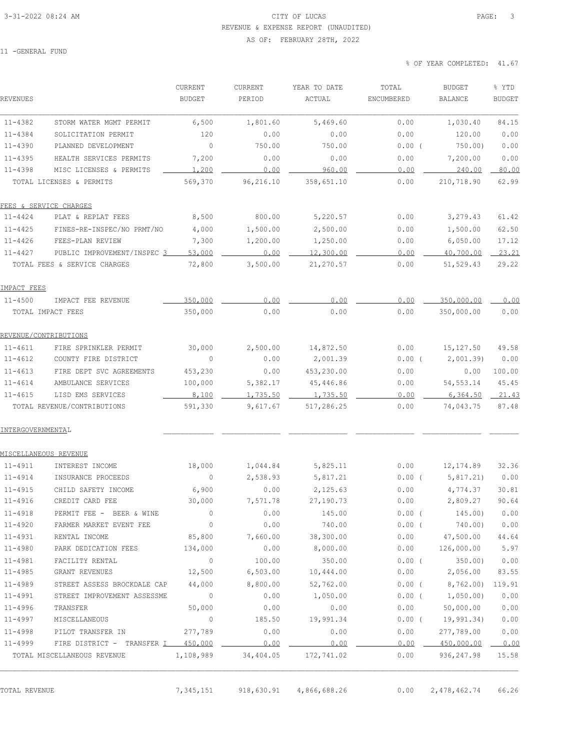### 3-31-2022 08:24 AM CITY OF LUCAS PAGE: 3 REVENUE & EXPENSE REPORT (UNAUDITED)

AS OF: FEBRUARY 28TH, 2022

11 -GENERAL FUND

| REVENUES                     |                                    | CURRENT<br><b>BUDGET</b> | CURRENT<br>PERIOD | YEAR TO DATE<br>ACTUAL | TOTAL<br>ENCUMBERED | <b>BUDGET</b><br>BALANCE | % YTD<br><b>BUDGET</b> |
|------------------------------|------------------------------------|--------------------------|-------------------|------------------------|---------------------|--------------------------|------------------------|
| $11 - 4382$                  | STORM WATER MGMT PERMIT            | 6,500                    | 1,801.60          | 5,469.60               | 0.00                | 1,030.40                 | 84.15                  |
| 11-4384                      | SOLICITATION PERMIT                | 120                      | 0.00              | 0.00                   | 0.00                | 120.00                   | 0.00                   |
| $11 - 4390$                  | PLANNED DEVELOPMENT                | $\circ$                  | 750.00            | 750.00                 | 0.00(               | 750.00                   | 0.00                   |
| $11 - 4395$                  | HEALTH SERVICES PERMITS            | 7,200                    | 0.00              | 0.00                   | 0.00                | 7,200.00                 | 0.00                   |
| $11 - 4398$                  | MISC LICENSES & PERMITS            | 1,200                    | 0.00              | 960.00                 | 0.00                | 240.00                   | 80.00                  |
|                              | TOTAL LICENSES & PERMITS           | 569,370                  | 96,216.10         | 358,651.10             | 0.00                | 210,718.90               | 62.99                  |
|                              | FEES & SERVICE CHARGES             |                          |                   |                        |                     |                          |                        |
| 11-4424                      | PLAT & REPLAT FEES                 | 8,500                    | 800.00            | 5,220.57               | 0.00                | 3, 279.43                | 61.42                  |
| 11-4425                      | FINES-RE-INSPEC/NO PRMT/NO         | 4,000                    | 1,500.00          | 2,500.00               | 0.00                | 1,500.00                 | 62.50                  |
| 11-4426                      | FEES-PLAN REVIEW                   | 7,300                    | 1,200.00          | 1,250.00               | 0.00                | 6,050.00                 | 17.12                  |
| 11-4427                      | PUBLIC IMPROVEMENT/INSPEC 3        | 53,000                   | 0.00              | 12,300.00              | 0.00                | 40,700.00                | 23.21                  |
|                              | TOTAL FEES & SERVICE CHARGES       | 72,800                   | 3,500.00          | 21,270.57              | 0.00                | 51,529.43                | 29.22                  |
| IMPACT FEES                  |                                    |                          |                   |                        |                     |                          |                        |
| 11-4500                      | IMPACT FEE REVENUE                 | 350,000                  | 0.00              | 0.00                   | 0.00                | 350,000.00               | 0.00                   |
|                              | TOTAL IMPACT FEES                  | 350,000                  | 0.00              | 0.00                   | 0.00                | 350,000.00               | 0.00                   |
| REVENUE/CONTRIBUTIONS        |                                    |                          |                   |                        |                     |                          |                        |
| $11 - 4611$                  | FIRE SPRINKLER PERMIT              | 30,000                   | 2,500.00          | 14,872.50              | 0.00                | 15,127.50                | 49.58                  |
| $11 - 4612$                  | COUNTY FIRE DISTRICT               | $\circ$                  | 0.00              | 2,001.39               | 0.00(               | 2,001.39                 | 0.00                   |
| $11 - 4613$                  | FIRE DEPT SVC AGREEMENTS           | 453,230                  | 0.00              | 453,230.00             | 0.00                | 0.00                     | 100.00                 |
| $11 - 4614$                  | AMBULANCE SERVICES                 | 100,000                  | 5,382.17          | 45,446.86              | 0.00                | 54, 553. 14              | 45.45                  |
| $11 - 4615$                  | LISD EMS SERVICES                  | 8,100                    | 1,735.50          | 1,735.50               | 0.00                | 6,364.50                 | 21.43                  |
|                              | TOTAL REVENUE/CONTRIBUTIONS        | 591,330                  | 9,617.67          | 517,286.25             | 0.00                | 74,043.75                | 87.48                  |
| INTERGOVERNMENTAL            |                                    |                          |                   |                        |                     |                          |                        |
| <u>MISCELLANEOUS REVENUE</u> |                                    |                          |                   |                        |                     |                          |                        |
| 11-4911                      | INTEREST INCOME                    | 18,000                   | 1,044.84          | 5,825.11               | 0.00                | 12, 174.89               | 32.36                  |
| $11 - 4914$                  | INSURANCE PROCEEDS                 | $\mathbf 0$              | 2,538.93          | 5,817.21               | 0.00(               | 5,817.21)                | 0.00                   |
| $11 - 4915$                  | CHILD SAFETY INCOME                | 6,900                    | 0.00              | 2,125.63               | 0.00                | 4,774.37                 | 30.81                  |
| 11-4916                      | CREDIT CARD FEE                    | 30,000                   | 7,571.78          | 27,190.73              | 0.00                | 2,809.27                 | 90.64                  |
| $11 - 4918$                  | PERMIT FEE - BEER & WINE           | 0                        | 0.00              | 145.00                 | $0.00$ (            | 145.00)                  | 0.00                   |
| $11 - 4920$                  | FARMER MARKET EVENT FEE            | $\mathbb O$              | 0.00              | 740.00                 | $0.00$ (            | 740.00)                  | 0.00                   |
| $11 - 4931$                  | RENTAL INCOME                      | 85,800                   | 7,660.00          | 38,300.00              |                     | $0.00$ 47,500.00         | 44.64                  |
| $11 - 4980$                  | PARK DEDICATION FEES               | 134,000                  | 0.00              | 8,000.00               |                     | 0.00 126,000.00          | 5.97                   |
| $11 - 4981$                  | FACILITY RENTAL                    | $\circ$                  | 100.00            | 350.00                 | $0.00$ (            | 350.00                   | 0.00                   |
| $11 - 4985$                  | GRANT REVENUES                     | 12,500                   | 6,503.00          | 10,444.00              |                     | $0.00$ 2,056.00          | 83.55                  |
| $11 - 4989$                  | STREET ASSESS BROCKDALE CAP 44,000 |                          | 8,800.00          | 52,762.00              |                     | $0.00$ ( $8,762.00$ )    | 119.91                 |
| $11 - 4991$                  | STREET IMPROVEMENT ASSESSME        | $\sim$ 0                 | 0.00              | 1,050.00               | $0.00$ (            | 1,050.00)                | 0.00                   |
| $11 - 4996$                  | TRANSFER                           | 50,000                   | 0.00              | 0.00                   | 0.00                | 50,000.00                | 0.00                   |
| $11 - 4997$                  | MISCELLANEOUS                      | $\circ$                  | 185.50            | 19,991.34              |                     | $0.00$ ( $19,991.34$ )   | 0.00                   |
| $11 - 4998$                  | PILOT TRANSFER IN                  | 277,789                  | 0.00              | 0.00                   | 0.00                | 277,789.00               | 0.00                   |
| 11-4999                      | FIRE DISTRICT - TRANSFER I 450,000 |                          | 0.00              | 0.00                   | $0.00$ $-$          | 450,000.00               | 0.00                   |
|                              |                                    |                          |                   |                        |                     |                          |                        |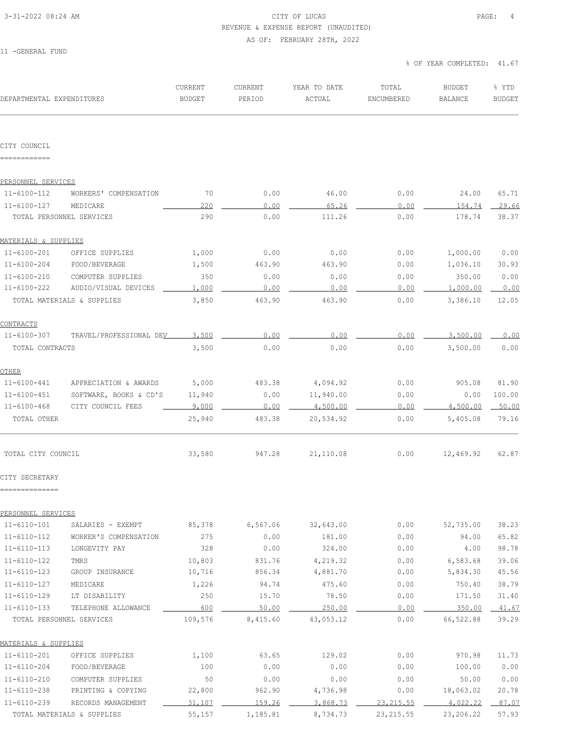#### 3-31-2022 08:24 AM CITY OF LUCAS PAGE: 4 REVENUE & EXPENSE REPORT (UNAUDITED)

AS OF: FEBRUARY 28TH, 2022

11 -GENERAL FUND

| DEPARTMENTAL EXPENDITURES  |                            | CURRENT<br><b>BUDGET</b> | CURRENT<br>PERIOD | YEAR TO DATE<br>ACTUAL | TOTAL<br>ENCUMBERED | <b>BUDGET</b><br><b>BALANCE</b> | % YTD<br><b>BUDGET</b> |
|----------------------------|----------------------------|--------------------------|-------------------|------------------------|---------------------|---------------------------------|------------------------|
| CITY COUNCIL               |                            |                          |                   |                        |                     |                                 |                        |
| ------------               |                            |                          |                   |                        |                     |                                 |                        |
| PERSONNEL SERVICES         |                            |                          |                   |                        |                     |                                 |                        |
| 11-6100-112                | WORKERS' COMPENSATION      | 70                       | 0.00              | 46.00                  | 0.00                | 24.00                           | 65.71                  |
| $11 - 6100 - 127$          | MEDICARE                   | 220                      | 0.00              | 65.26                  | 0.00                | 154.74                          | 29.66                  |
|                            | TOTAL PERSONNEL SERVICES   | 290                      | 0.00              | 111.26                 | 0.00                | 178.74                          | 38.37                  |
| MATERIALS & SUPPLIES       |                            |                          |                   |                        |                     |                                 |                        |
| $11 - 6100 - 201$          | OFFICE SUPPLIES            | 1,000                    | 0.00              | 0.00                   | 0.00                | 1,000.00                        | 0.00                   |
| $11 - 6100 - 204$          | FOOD/BEVERAGE              | 1,500                    | 463.90            | 463.90                 | 0.00                | 1,036.10                        | 30.93                  |
| $11 - 6100 - 210$          | COMPUTER SUPPLIES          | 350                      | 0.00              | 0.00                   | 0.00                | 350.00                          | 0.00                   |
| 11-6100-222                | AUDIO/VISUAL DEVICES       | 1,000                    | 0.00              | 0.00                   | 0.00                | 1,000.00                        | 0.00                   |
|                            | TOTAL MATERIALS & SUPPLIES | 3,850                    | 463.90            | 463.90                 | 0.00                | 3,386.10                        | 12.05                  |
| <b>CONTRACTS</b>           |                            |                          |                   |                        |                     |                                 |                        |
| $11 - 6100 - 307$          | TRAVEL/PROFESSIONAL DEV    | 3,500                    | 0.00              | 0.00                   | 0.00                | 3,500.00                        | 0.00                   |
| TOTAL CONTRACTS            |                            | 3,500                    | 0.00              | 0.00                   | 0.00                | 3,500.00                        | 0.00                   |
|                            |                            |                          |                   |                        |                     |                                 |                        |
| OTHER<br>$11 - 6100 - 441$ | APPRECIATION & AWARDS      | 5,000                    | 483.38            | 4,094.92               | 0.00                | 905.08                          | 81.90                  |
| $11 - 6100 - 451$          | SOFTWARE, BOOKS & CD'S     | 11,940                   | 0.00              | 11,940.00              | 0.00                | 0.00                            | 100.00                 |
| $11 - 6100 - 468$          | CITY COUNCIL FEES          | 9,000                    | 0.00              | 4,500.00               | 0.00                | 4,500.00                        | 50.00                  |
| TOTAL OTHER                |                            | 25,940                   | 483.38            | 20,534.92              | 0.00                | 5,405.08                        | 79.16                  |
| TOTAL CITY COUNCIL         |                            | 33,580                   | 947.28            | 21,110.08              | 0.00                | 12,469.92                       | 62.87                  |
| CITY SECRETARY             |                            |                          |                   |                        |                     |                                 |                        |
| --------------             |                            |                          |                   |                        |                     |                                 |                        |
| PERSONNEL SERVICES         |                            |                          |                   |                        |                     |                                 |                        |
| $11 - 6110 - 101$          | SALARIES - EXEMPT          | 85,378                   | 6,567.06          | 32,643.00              | 0.00                | 52,735.00                       | 38.23                  |
| $11 - 6110 - 112$          | WORKER'S COMPENSATION      | 275                      | 0.00              | 181.00                 | 0.00                | 94.00                           | 65.82                  |
| $11 - 6110 - 113$          | LONGEVITY PAY              | 328                      | 0.00              | 324.00                 | 0.00                | 4.00                            | 98.78                  |
| $11 - 6110 - 122$          | TMRS                       | 10,803                   | 831.76            | 4,219.32               | 0.00                | 6,583.68                        | 39.06                  |
| $11 - 6110 - 123$          | GROUP INSURANCE            | 10,716                   | 856.34            | 4,881.70               | 0.00                | 5,834.30                        | 45.56                  |
| $11 - 6110 - 127$          | MEDICARE                   | 1,226                    | 94.74             | 475.60                 | 0.00                | 750.40                          | 38.79                  |
| $11 - 6110 - 129$          | LT DISABILITY              | 250                      | 15.70             | 78.50                  | 0.00                | 171.50                          | 31.40                  |
| $11 - 6110 - 133$          | TELEPHONE ALLOWANCE        | 600                      | 50.00             | 250.00                 | 0.00                | 350.00                          | 41.67                  |
|                            | TOTAL PERSONNEL SERVICES   | 109,576                  | 8,415.60          | 43,053.12              | 0.00                | 66,522.88                       | 39.29                  |
| MATERIALS & SUPPLIES       |                            |                          |                   |                        |                     |                                 |                        |
| $11 - 6110 - 201$          | OFFICE SUPPLIES            | 1,100                    | 63.65             | 129.02                 | 0.00                | 970.98                          | 11.73                  |
| $11 - 6110 - 204$          | FOOD/BEVERAGE              | 100                      | 0.00              | 0.00                   | 0.00                | 100.00                          | 0.00                   |
| $11 - 6110 - 210$          | COMPUTER SUPPLIES          | 50                       | 0.00              | 0.00                   | 0.00                | 50.00                           | 0.00                   |
| $11 - 6110 - 238$          | PRINTING & COPYING         | 22,800                   | 962.90            | 4,736.98               | 0.00                | 18,063.02                       | 20.78                  |
| $11 - 6110 - 239$          | RECORDS MANAGEMENT         | 31,107                   | 159.26            | 3,868.73               | 23, 215.55          | 4,022.22                        | 87.07                  |
|                            | TOTAL MATERIALS & SUPPLIES | 55,157                   | 1,185.81          | 8,734.73               | 23, 215.55          | 23,206.22                       | 57.93                  |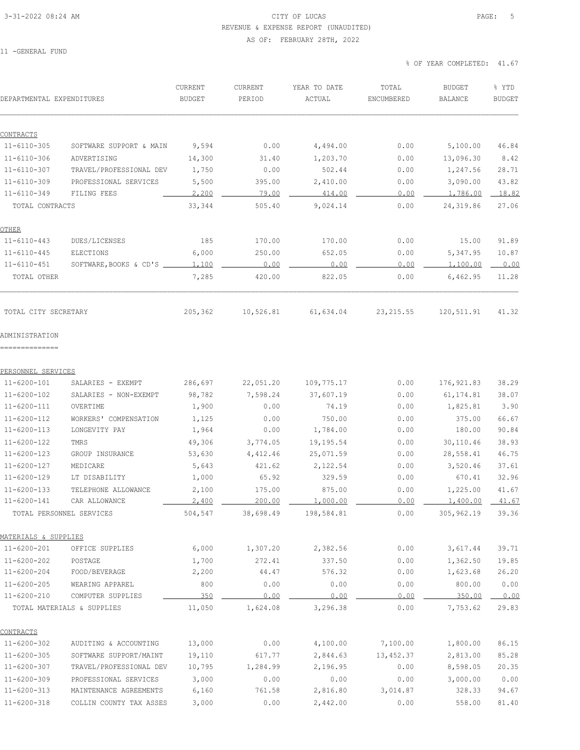### 3-31-2022 08:24 AM CITY OF LUCAS PAGE: 5 REVENUE & EXPENSE REPORT (UNAUDITED) AS OF: FEBRUARY 28TH, 2022

11 -GENERAL FUND

| DEPARTMENTAL EXPENDITURES                 |                            | CURRENT<br><b>BUDGET</b> | CURRENT<br>PERIOD | YEAR TO DATE<br>ACTUAL | TOTAL<br>ENCUMBERED | <b>BUDGET</b><br><b>BALANCE</b> | % YTD<br><b>BUDGET</b> |
|-------------------------------------------|----------------------------|--------------------------|-------------------|------------------------|---------------------|---------------------------------|------------------------|
|                                           |                            |                          |                   |                        |                     |                                 |                        |
| CONTRACTS                                 |                            |                          |                   |                        |                     |                                 |                        |
| $11 - 6110 - 305$                         | SOFTWARE SUPPORT & MAIN    | 9,594                    | 0.00              | 4,494.00               | 0.00                | 5,100.00                        | 46.84                  |
| $11 - 6110 - 306$                         | ADVERTISING                | 14,300                   | 31.40             | 1,203.70               | 0.00                | 13,096.30                       | 8.42                   |
| $11 - 6110 - 307$                         | TRAVEL/PROFESSIONAL DEV    | 1,750                    | 0.00              | 502.44                 | 0.00                | 1,247.56                        | 28.71                  |
| $11 - 6110 - 309$                         | PROFESSIONAL SERVICES      | 5,500                    | 395.00            | 2,410.00               | 0.00                | 3,090.00                        | 43.82                  |
| $11 - 6110 - 349$                         | FILING FEES                | 2,200                    | 79.00             | 414.00                 | 0.00                | 1,786.00                        | 18.82                  |
| TOTAL CONTRACTS                           |                            | 33,344                   | 505.40            | 9,024.14               | 0.00                | 24,319.86                       | 27.06                  |
| <u>OTHER</u>                              |                            |                          |                   |                        |                     |                                 |                        |
| $11 - 6110 - 443$                         | DUES/LICENSES              | 185                      | 170.00            | 170.00                 | 0.00                | 15.00                           | 91.89                  |
| $11 - 6110 - 445$                         | ELECTIONS                  | 6,000                    | 250.00            | 652.05                 | 0.00                | 5, 347.95                       | 10.87                  |
| $11 - 6110 - 451$                         | SOFTWARE, BOOKS & CD'S     | 1,100                    | 0.00              | 0.00                   | 0.00                | 1,100.00                        | 0.00                   |
| TOTAL OTHER                               |                            | 7,285                    | 420.00            | 822.05                 | 0.00                | 6,462.95                        | 11.28                  |
| TOTAL CITY SECRETARY                      |                            | 205,362                  | 10,526.81         | 61,634.04              | 23, 215.55          | 120,511.91                      | 41.32                  |
| ADMINISTRATION                            |                            |                          |                   |                        |                     |                                 |                        |
| ---------------                           |                            |                          |                   |                        |                     |                                 |                        |
| PERSONNEL SERVICES                        |                            |                          |                   |                        |                     |                                 |                        |
| $11 - 6200 - 101$                         | SALARIES - EXEMPT          | 286,697                  | 22,051.20         | 109,775.17             | 0.00                | 176,921.83                      | 38.29                  |
| $11 - 6200 - 102$                         | SALARIES - NON-EXEMPT      | 98,782                   | 7,598.24          | 37,607.19              | 0.00                | 61, 174.81                      | 38.07<br>3.90          |
| $11 - 6200 - 111$                         | OVERTIME                   | 1,900                    | 0.00              | 74.19                  | 0.00                | 1,825.81                        |                        |
| $11 - 6200 - 112$                         | WORKERS' COMPENSATION      | 1,125                    | 0.00              | 750.00                 | 0.00                | 375.00                          | 66.67                  |
| $11 - 6200 - 113$                         | LONGEVITY PAY<br>TMRS      | 1,964                    | 0.00              | 1,784.00               | 0.00                | 180.00                          | 90.84                  |
| $11 - 6200 - 122$<br>$11 - 6200 - 123$    | GROUP INSURANCE            | 49,306                   | 3,774.05          | 19,195.54              | 0.00                | 30,110.46                       | 38.93<br>46.75         |
|                                           |                            | 53,630                   | 4,412.46          | 25,071.59              | 0.00                | 28,558.41                       |                        |
| $11 - 6200 - 127$                         | MEDICARE                   | 5,643                    | 421.62            | 2,122.54               | 0.00                | 3,520.46                        | 37.61<br>32.96         |
| 11-6200-129<br>$11 - 6200 - 133$          | LT DISABILITY              | 1,000                    | 65.92             | 329.59                 | 0.00                | 670.41                          |                        |
| 11-6200-141                               | TELEPHONE ALLOWANCE        | 2,100<br>2.400           | 175.00<br>200 00  | 875.00<br>1 000 00     | 0.00                | 1,225.00<br>1 400 00            | 41.67<br>41 67         |
| TOTAL PERSONNEL SERVICES                  | CAR ALLOWANCE              | 504,547                  | 38,698.49         | 198,584.81             | 0.00                | 305,962.19                      | 39.36                  |
|                                           |                            |                          |                   |                        |                     |                                 |                        |
| MATERIALS & SUPPLIES<br>$11 - 6200 - 201$ | OFFICE SUPPLIES            | 6,000                    | 1,307.20          | 2,382.56               | 0.00                | 3,617.44                        | 39.71                  |
| $11 - 6200 - 202$                         | POSTAGE                    |                          | 272.41            | 337.50                 | 0.00                |                                 |                        |
| $11 - 6200 - 204$                         | FOOD/BEVERAGE              | 1,700<br>2,200           | 44.47             | 576.32                 | 0.00                | 1,362.50<br>1,623.68            | 19.85<br>26.20         |
| $11 - 6200 - 205$                         | WEARING APPAREL            | 800                      | 0.00              | 0.00                   | 0.00                | 800.00                          | 0.00                   |
| $11 - 6200 - 210$                         | COMPUTER SUPPLIES          | 350                      | 0.00              | 0.00                   | 0.00                | 350.00                          | 0.00                   |
|                                           | TOTAL MATERIALS & SUPPLIES |                          |                   | 3,296.38               |                     |                                 |                        |
|                                           |                            | 11,050                   | 1,624.08          |                        | 0.00                | 7,753.62                        | 29.83                  |
| CONTRACTS                                 |                            |                          |                   |                        |                     |                                 |                        |
| $11 - 6200 - 302$                         | AUDITING & ACCOUNTING      | 13,000                   | 0.00              | 4,100.00               | 7,100.00            | 1,800.00                        | 86.15                  |
| $11 - 6200 - 305$                         | SOFTWARE SUPPORT/MAINT     | 19,110                   | 617.77            | 2,844.63               | 13,452.37           | 2,813.00                        | 85.28                  |
| $11 - 6200 - 307$                         | TRAVEL/PROFESSIONAL DEV    | 10,795                   | 1,284.99          | 2,196.95               | 0.00                | 8,598.05                        | 20.35                  |
| $11 - 6200 - 309$                         | PROFESSIONAL SERVICES      | 3,000                    | 0.00              | 0.00                   | 0.00                | 3,000.00                        | 0.00                   |
| $11 - 6200 - 313$                         | MAINTENANCE AGREEMENTS     | 6,160                    | 761.58            | 2,816.80               | 3,014.87            | 328.33                          | 94.67                  |
| $11 - 6200 - 318$                         | COLLIN COUNTY TAX ASSES    | 3,000                    | 0.00              | 2,442.00               | 0.00                | 558.00                          | 81.40                  |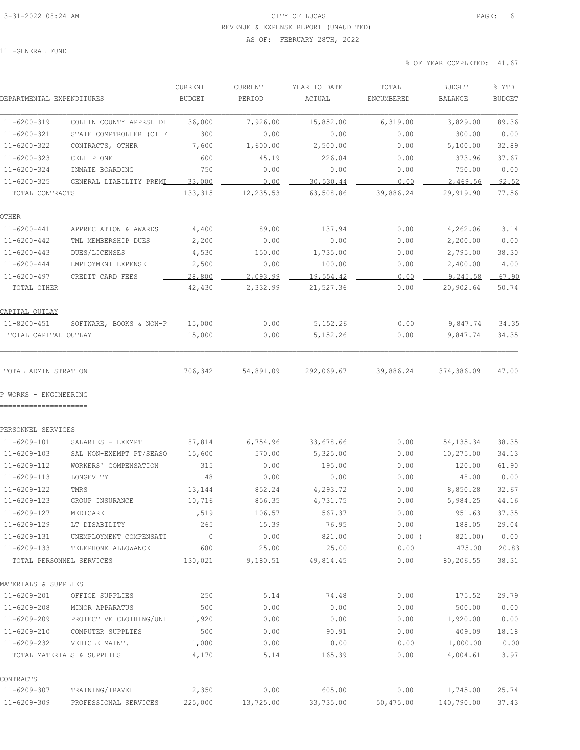### 3-31-2022 08:24 AM CITY OF LUCAS PAGE: 6 REVENUE & EXPENSE REPORT (UNAUDITED)

#### AS OF: FEBRUARY 28TH, 2022

11 -GENERAL FUND

| DEPARTMENTAL EXPENDITURES                       |                                                | CURRENT<br><b>BUDGET</b> | CURRENT<br>PERIOD | YEAR TO DATE<br>ACTUAL | TOTAL<br>ENCUMBERED | <b>BUDGET</b><br><b>BALANCE</b> | % YTD<br><b>BUDGET</b> |
|-------------------------------------------------|------------------------------------------------|--------------------------|-------------------|------------------------|---------------------|---------------------------------|------------------------|
| 11-6200-319                                     | COLLIN COUNTY APPRSL DI                        | 36,000                   | 7,926.00          | 15,852.00              | 16,319.00           | 3,829.00                        | 89.36                  |
| $11 - 6200 - 321$                               | STATE COMPTROLLER (CT F                        | 300                      | 0.00              | 0.00                   | 0.00                | 300.00                          | 0.00                   |
| $11 - 6200 - 322$                               | CONTRACTS, OTHER                               | 7,600                    | 1,600.00          | 2,500.00               | 0.00                | 5,100.00                        | 32.89                  |
| $11 - 6200 - 323$                               | CELL PHONE                                     | 600                      | 45.19             | 226.04                 | 0.00                | 373.96                          | 37.67                  |
| $11 - 6200 - 324$                               | INMATE BOARDING                                | 750                      | 0.00              | 0.00                   | 0.00                | 750.00                          | 0.00                   |
| $11 - 6200 - 325$                               | GENERAL LIABILITY PREMI                        | 33,000                   | 0.00              | 30,530.44              | 0.00                | 2,469.56                        | 92.52                  |
| TOTAL CONTRACTS                                 |                                                | 133,315                  | 12,235.53         | 63,508.86              | 39,886.24           | 29,919.90                       | 77.56                  |
| OTHER                                           |                                                |                          |                   |                        |                     |                                 |                        |
| $11 - 6200 - 441$                               | APPRECIATION & AWARDS                          | 4,400                    | 89.00             | 137.94                 | 0.00                | 4,262.06                        | 3.14                   |
| 11-6200-442                                     | TML MEMBERSHIP DUES                            | 2,200                    | 0.00              | 0.00                   | 0.00                | 2,200.00                        | 0.00                   |
| $11 - 6200 - 443$                               | DUES/LICENSES                                  | 4,530                    | 150.00            | 1,735.00               | 0.00                | 2,795.00                        | 38.30                  |
| $11 - 6200 - 444$                               | EMPLOYMENT EXPENSE                             | 2,500                    | 0.00              | 100.00                 | 0.00                | 2,400.00                        | 4.00                   |
| $11 - 6200 - 497$                               | CREDIT CARD FEES                               | 28,800                   | 2,093.99          | 19,554.42              | 0.00                | 9,245.58                        | 67.90                  |
| TOTAL OTHER                                     |                                                | 42,430                   | 2,332.99          | 21,527.36              | 0.00                | 20,902.64                       | 50.74                  |
| CAPITAL OUTLAY                                  |                                                |                          |                   |                        |                     |                                 |                        |
| 11-8200-451                                     | SOFTWARE, BOOKS & NON-P                        | 15,000                   | 0.00              | 5,152.26               | 0.00                | 9,847.74                        | 34.35                  |
| TOTAL CAPITAL OUTLAY                            |                                                | 15,000                   | 0.00              | 5, 152.26              | 0.00                | 9,847.74                        | 34.35                  |
| TOTAL ADMINISTRATION                            |                                                | 706,342                  | 54,891.09         | 292,069.67             | 39,886.24           | 374,386.09                      | 47.00                  |
| P WORKS - ENGINEERING<br>---------------------- |                                                |                          |                   |                        |                     |                                 |                        |
| PERSONNEL SERVICES                              |                                                |                          |                   |                        |                     |                                 |                        |
| 11-6209-101                                     | SALARIES - EXEMPT                              | 87,814                   | 6,754.96          | 33,678.66              | 0.00                | 54, 135.34                      | 38.35                  |
| 11-6209-103                                     | SAL NON-EXEMPT PT/SEASO                        | 15,600                   | 570.00            | 5,325.00               | 0.00                | 10,275.00                       | 34.13                  |
| $11 - 6209 - 112$                               | WORKERS' COMPENSATION                          | 315                      | 0.00              | 195.00                 | 0.00                | 120.00                          | 61.90                  |
| $11 - 6209 - 113$                               | LONGEVITY                                      | 48                       | 0.00              | 0.00                   | 0.00                | 48.00                           | 0.00                   |
| $11 - 6209 - 122$                               | TMRS                                           | 13,144                   | 852.24            | 4,293.72               | 0.00                | 8,850.28                        | 32.67                  |
| $11 - 6209 - 123$                               | GROUP INSURANCE                                | 10,716                   | 856.35            | 4,731.75               | 0.00                | 5,984.25                        | 44.16                  |
| 11-6209-127                                     | MEDICARE                                       | 1,519                    | 106.57            | 567.37                 | 0.00                | 951.63                          | 37.35                  |
| 11-6209-129                                     | LT DISABILITY                                  | 265                      | 15.39             | 76.95                  | 0.00                | 188.05                          | 29.04                  |
| $11 - 6209 - 131$<br>$11 - 6209 - 133$          | UNEMPLOYMENT COMPENSATI<br>TELEPHONE ALLOWANCE | $\overline{0}$<br>600    | 0.00<br>25.00     | 821.00<br>125.00       | $0.00$ (<br>0.00    | 821.00)<br>475.00               | 0.00<br>20.83          |
|                                                 | TOTAL PERSONNEL SERVICES                       | 130,021                  | 9,180.51          | 49,814.45              | 0.00                | 80,206.55                       | 38.31                  |
| MATERIALS & SUPPLIES                            |                                                |                          |                   |                        |                     |                                 |                        |
| $11 - 6209 - 201$                               | OFFICE SUPPLIES                                | 250                      | 5.14              | 74.48                  | 0.00                | 175.52                          | 29.79                  |
| 11-6209-208                                     | MINOR APPARATUS                                | 500                      | 0.00              | 0.00                   | 0.00                | 500.00                          | 0.00                   |
| 11-6209-209                                     | PROTECTIVE CLOTHING/UNI                        | 1,920                    | 0.00              | 0.00                   | 0.00                | 1,920.00                        | 0.00                   |
| 11-6209-210                                     | COMPUTER SUPPLIES                              | 500                      | 0.00              | 90.91                  | 0.00                | 409.09                          | 18.18                  |
| 11-6209-232                                     | VEHICLE MAINT.                                 | 1,000                    | 0.00              | 0.00                   | 0.00                | 1,000.00                        | 0.00                   |
|                                                 | TOTAL MATERIALS & SUPPLIES                     | 4,170                    | 5.14              | 165.39                 | 0.00                | 4,004.61                        | 3.97                   |
| CONTRACTS                                       |                                                |                          |                   |                        |                     |                                 |                        |
| 11-6209-307                                     | TRAINING/TRAVEL                                | 2,350                    | 0.00              | 605.00                 | 0.00                | 1,745.00                        | 25.74                  |
| 11-6209-309                                     | PROFESSIONAL SERVICES                          | 225,000                  | 13,725.00         | 33,735.00              | 50,475.00           | 140,790.00                      | 37.43                  |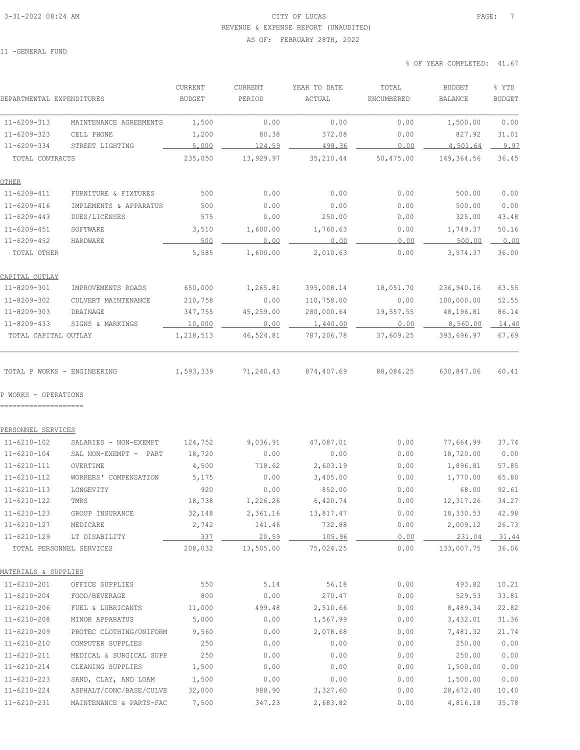#### 3-31-2022 08:24 AM CITY OF LUCAS PAGE: 7 REVENUE & EXPENSE REPORT (UNAUDITED)

#### AS OF: FEBRUARY 28TH, 2022

11 -GENERAL FUND

| DEPARTMENTAL EXPENDITURES                           |                                           | CURRENT<br><b>BUDGET</b> | CURRENT<br>PERIOD  | YEAR TO DATE<br>ACTUAL | TOTAL<br>ENCUMBERED | <b>BUDGET</b><br><b>BALANCE</b> | % YTD<br><b>BUDGET</b> |
|-----------------------------------------------------|-------------------------------------------|--------------------------|--------------------|------------------------|---------------------|---------------------------------|------------------------|
| $11 - 6209 - 313$                                   | MAINTENANCE AGREEMENTS                    | 1,500                    | 0.00               | 0.00                   | 0.00                | 1,500.00                        | 0.00                   |
| $11 - 6209 - 323$                                   | CELL PHONE                                | 1,200                    | 80.38              | 372.08                 | 0.00                | 827.92                          | 31.01                  |
| $11 - 6209 - 334$                                   | STREET LIGHTING                           | 5,000                    | 124.59             | 498.36                 | 0.00                | 4,501.64                        | 9.97                   |
| TOTAL CONTRACTS                                     |                                           | 235,050                  | 13,929.97          | 35,210.44              | 50,475.00           | 149,364.56                      | 36.45                  |
| OTHER                                               |                                           |                          |                    |                        |                     |                                 |                        |
| $11 - 6209 - 411$                                   | FURNITURE & FIXTURES                      | 500                      | 0.00               | 0.00                   | 0.00                | 500.00                          | 0.00                   |
| $11 - 6209 - 416$                                   | IMPLEMENTS & APPARATUS                    | 500                      | 0.00               | 0.00                   | 0.00                | 500.00                          | 0.00                   |
| $11 - 6209 - 443$                                   | DUES/LICENSES                             | 575                      | 0.00               | 250.00                 | 0.00                | 325.00                          | 43.48                  |
| $11 - 6209 - 451$                                   | SOFTWARE                                  | 3,510                    | 1,600.00           | 1,760.63               | 0.00                | 1,749.37                        | 50.16                  |
| $11 - 6209 - 452$                                   | HARDWARE                                  | 500                      | 0.00               | 0.00                   | 0.00                | 500.00                          | 0.00                   |
| TOTAL OTHER                                         |                                           | 5,585                    | 1,600.00           | 2,010.63               | 0.00                | 3,574.37                        | 36.00                  |
| CAPITAL OUTLAY                                      |                                           |                          |                    |                        |                     |                                 |                        |
| 11-8209-301                                         | IMPROVEMENTS ROADS                        | 650,000                  | 1,265.81           | 395,008.14             | 18,051.70           | 236,940.16                      | 63.55                  |
| 11-8209-302                                         | CULVERT MAINTENANCE                       | 210,758                  | 0.00               | 110,758.00             | 0.00                | 100,000.00                      | 52.55                  |
| 11-8209-303                                         | DRAINAGE                                  | 347,755                  | 45,259.00          | 280,000.64             | 19,557.55           | 48,196.81                       | 86.14                  |
| $11 - 8209 - 433$                                   | SIGNS & MARKINGS                          | 10,000                   | 0.00               | 1,440.00               | 0.00                | 8,560.00                        | 14.40                  |
| TOTAL CAPITAL OUTLAY                                |                                           | 1,218,513                | 46,524.81          | 787,206.78             | 37,609.25           | 393,696.97                      | 67.69                  |
| TOTAL P WORKS - ENGINEERING<br>P WORKS - OPERATIONS |                                           | 1,593,339                | 71,240.43          | 874,407.69             | 88,084.25           | 630,847.06                      | 60.41                  |
| PERSONNEL SERVICES                                  |                                           |                          |                    |                        |                     |                                 |                        |
| $11 - 6210 - 102$                                   | SALARIES - NON-EXEMPT                     | 124,752                  | 9,036.91           | 47,087.01              | 0.00                | 77,664.99                       | 37.74                  |
| $11 - 6210 - 104$                                   | SAL NON-EXEMPT - PART                     | 18,720                   | 0.00               | 0.00                   | 0.00                | 18,720.00                       | 0.00                   |
| $11 - 6210 - 111$                                   | OVERTIME                                  | 4,500                    | 718.62             | 2,603.19               | 0.00                | 1,896.81                        | 57.85                  |
| $11 - 6210 - 112$                                   | WORKERS' COMPENSATION                     | 5,175                    | 0.00               | 3,405.00               | 0.00                | 1,770.00                        | 65.80                  |
| $11 - 6210 - 113$                                   | LONGEVITY                                 | 920                      | 0.00               | 852.00                 | 0.00                | 68.00                           | 92.61                  |
| $11 - 6210 - 122$                                   | TMRS                                      | 18,738                   | 1,226.26           | 6,420.74               | 0.00                | 12,317.26                       | 34.27                  |
| $11 - 6210 - 123$                                   | GROUP INSURANCE                           | 32,148                   | 2,361.16           | 13,817.47              | 0.00                | 18,330.53                       | 42.98                  |
| 11-6210-127                                         | MEDICARE                                  | 2,742                    | 141.46             | 732.88                 | 0.00                | 2,009.12                        | 26.73                  |
| $11 - 6210 - 129$                                   | LT DISABILITY<br>TOTAL PERSONNEL SERVICES | 337<br>208,032           | 20.59<br>13,505.00 | 105.96<br>75,024.25    | 0.00<br>0.00        | 231.04<br>133,007.75            | 31.44<br>36.06         |
|                                                     |                                           |                          |                    |                        |                     |                                 |                        |
| MATERIALS & SUPPLIES                                |                                           |                          |                    |                        |                     |                                 |                        |
| $11 - 6210 - 201$                                   | OFFICE SUPPLIES                           | 550                      | 5.14               | 56.18                  | 0.00                | 493.82                          | 10.21                  |
| $11 - 6210 - 204$                                   | FOOD/BEVERAGE                             | 800                      | 0.00               | 270.47                 | 0.00                | 529.53                          | 33.81                  |
| $11 - 6210 - 206$                                   | FUEL & LUBRICANTS                         | 11,000                   | 499.48             | 2,510.66               | 0.00                | 8,489.34                        | 22.82                  |
| $11 - 6210 - 208$                                   | MINOR APPARATUS                           | 5,000                    | 0.00               | 1,567.99               | 0.00                | 3,432.01                        | 31.36                  |
| $11 - 6210 - 209$                                   | PROTEC CLOTHING/UNIFORM                   | 9,560                    | 0.00               | 2,078.68               | 0.00                | 7,481.32                        | 21.74                  |
| 11-6210-210                                         | COMPUTER SUPPLIES                         | 250                      | 0.00               | 0.00                   | 0.00                | 250.00                          | 0.00                   |
| $11 - 6210 - 211$                                   | MEDICAL & SURGICAL SUPP                   | 250                      | 0.00               | 0.00                   | 0.00                | 250.00                          | 0.00                   |
| $11 - 6210 - 214$                                   | CLEANING SUPPLIES                         | 1,500                    | 0.00               | 0.00                   | 0.00                | 1,500.00                        | 0.00                   |
| $11 - 6210 - 223$                                   | SAND, CLAY, AND LOAM                      | 1,500                    | 0.00               | 0.00                   | 0.00                | 1,500.00                        | 0.00                   |
| $11 - 6210 - 224$                                   | ASPHALT/CONC/BASE/CULVE                   | 32,000                   | 988.90             | 3,327.60               | 0.00                | 28,672.40                       | 10.40                  |
| 11-6210-231                                         | MAINTENANCE & PARTS-FAC                   | 7,500                    | 347.23             | 2,683.82               | 0.00                | 4,816.18                        | 35.78                  |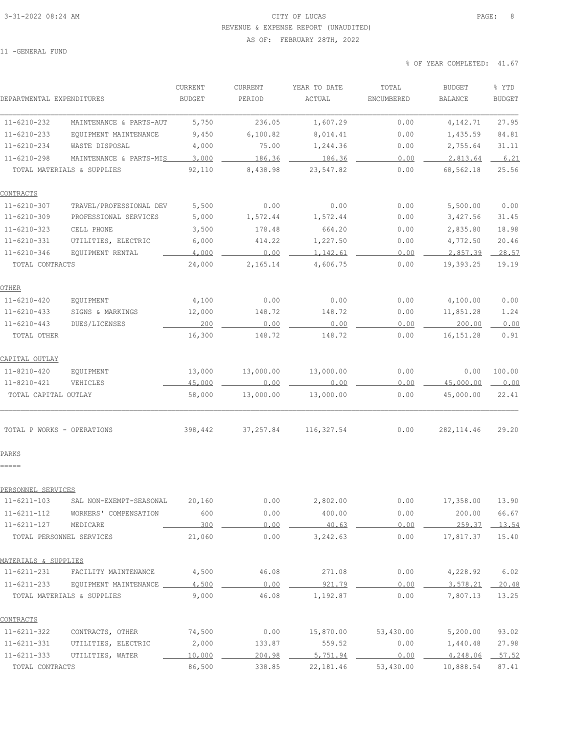### 3-31-2022 08:24 AM CITY OF LUCAS PAGE: 8 REVENUE & EXPENSE REPORT (UNAUDITED)

#### AS OF: FEBRUARY 28TH, 2022

11 -GENERAL FUND

| DEPARTMENTAL EXPENDITURES           |                                                     | CURRENT<br><b>BUDGET</b> | CURRENT<br>PERIOD | YEAR TO DATE<br>ACTUAL | TOTAL<br>ENCUMBERED | <b>BUDGET</b><br><b>BALANCE</b> | % YTD<br><b>BUDGET</b> |
|-------------------------------------|-----------------------------------------------------|--------------------------|-------------------|------------------------|---------------------|---------------------------------|------------------------|
| $11 - 6210 - 232$                   | MAINTENANCE & PARTS-AUT                             | 5,750                    | 236.05            | 1,607.29               | 0.00                | 4,142.71                        | 27.95                  |
| $11 - 6210 - 233$                   | EQUIPMENT MAINTENANCE                               | 9,450                    | 6, 100.82         | 8,014.41               | 0.00                | 1,435.59                        | 84.81                  |
| $11 - 6210 - 234$                   | WASTE DISPOSAL                                      | 4,000                    | 75.00             | 1,244.36               | 0.00                | 2,755.64                        | 31.11                  |
| $11 - 6210 - 298$                   | MAINTENANCE & PARTS-MIS                             | 3,000                    | 186.36            | 186.36                 | 0.00                | 2,813.64                        | 6.21                   |
|                                     | TOTAL MATERIALS & SUPPLIES                          | 92,110                   | 8,438.98          | 23,547.82              | 0.00                | 68,562.18                       | 25.56                  |
| <u>CONTRACTS</u>                    |                                                     |                          |                   |                        |                     |                                 |                        |
| $11 - 6210 - 307$                   | TRAVEL/PROFESSIONAL DEV                             | 5,500                    | 0.00              | 0.00                   | 0.00                | 5,500.00                        | 0.00                   |
| $11 - 6210 - 309$                   | PROFESSIONAL SERVICES                               | 5,000                    | 1,572.44          | 1,572.44               | 0.00                | 3,427.56                        | 31.45                  |
| $11 - 6210 - 323$                   | CELL PHONE                                          | 3,500                    | 178.48            | 664.20                 | 0.00                | 2,835.80                        | 18.98                  |
| $11 - 6210 - 331$                   | UTILITIES, ELECTRIC                                 | 6,000                    | 414.22            | 1,227.50               | 0.00                | 4,772.50                        | 20.46                  |
| $11 - 6210 - 346$                   | EQUIPMENT RENTAL                                    | 4,000                    | 0.00              | 1,142.61               | 0.00                | 2,857.39                        | 28.57                  |
| TOTAL CONTRACTS                     |                                                     | 24,000                   | 2,165.14          | 4,606.75               | 0.00                | 19,393.25                       | 19.19                  |
| OTHER                               |                                                     |                          |                   |                        |                     |                                 |                        |
| $11 - 6210 - 420$                   | EQUIPMENT                                           | 4,100                    | 0.00              | 0.00                   | 0.00                | 4,100.00                        | 0.00                   |
| $11 - 6210 - 433$                   | SIGNS & MARKINGS                                    | 12,000                   | 148.72            | 148.72                 | 0.00                | 11,851.28                       | 1.24                   |
| $11 - 6210 - 443$                   | DUES/LICENSES                                       | 200                      | 0.00              | 0.00                   | 0.00                | 200.00                          | 0.00                   |
| TOTAL OTHER                         |                                                     | 16,300                   | 148.72            | 148.72                 | 0.00                | 16, 151.28                      | 0.91                   |
| CAPITAL OUTLAY                      |                                                     |                          |                   |                        |                     |                                 |                        |
| 11-8210-420                         | EQUIPMENT                                           | 13,000                   | 13,000.00         | 13,000.00              | 0.00                | 0.00                            | 100.00                 |
| 11-8210-421                         | VEHICLES                                            | 45,000                   | 0.00              | 0.00                   | 0.00                | 45,000.00                       | 0.00                   |
| TOTAL CAPITAL OUTLAY                |                                                     | 58,000                   | 13,000.00         | 13,000.00              | 0.00                | 45,000.00                       | 22.41                  |
| TOTAL P WORKS - OPERATIONS<br>PARKS |                                                     | 398,442                  | 37, 257.84        | 116, 327.54            | 0.00                | 282, 114.46                     | 29.20                  |
| -----                               |                                                     |                          |                   |                        |                     |                                 |                        |
| PERSONNEL SERVICES                  |                                                     |                          |                   |                        |                     |                                 |                        |
| 11-6211-103                         | SAL NON-EXEMPT-SEASONAL                             | 20,160                   | 0.00              | 2,802.00               | 0.00                | 17,358.00 13.90                 |                        |
| $11 - 6211 - 112$                   | WORKERS' COMPENSATION                               | 600                      | 0.00              | 400.00                 | 0.00                | 200.00                          | 66.67                  |
| $11 - 6211 - 127$                   | MEDICARE<br>TOTAL PERSONNEL SERVICES                | 300<br>21,060            | 0.00<br>0.00      | 40.63<br>3,242.63      | 0.00<br>0.00        | 259.37<br>17,817.37             | 13.54<br>15.40         |
|                                     |                                                     |                          |                   |                        |                     |                                 |                        |
| MATERIALS & SUPPLIES                |                                                     |                          |                   |                        |                     |                                 |                        |
| $11 - 6211 - 231$                   | FACILITY MAINTENANCE                                | 4,500                    | 46.08             | 271.08                 | 0.00                | 4,228.92                        | 6.02                   |
| 11-6211-233                         | EQUIPMENT MAINTENANCE<br>TOTAL MATERIALS & SUPPLIES | 4,500<br>9,000           | 0.00<br>46.08     | 921.79<br>1,192.87     | 0.00<br>0.00        | 3,578.21<br>7,807.13            | 20.48<br>13.25         |
|                                     |                                                     |                          |                   |                        |                     |                                 |                        |
| <b>CONTRACTS</b>                    |                                                     |                          |                   |                        |                     |                                 |                        |
| $11 - 6211 - 322$                   | CONTRACTS, OTHER                                    | 74,500                   | 0.00              | 15,870.00              | 53,430.00           | 5,200.00                        | 93.02                  |
| $11 - 6211 - 331$                   | UTILITIES, ELECTRIC                                 | 2,000                    | 133.87            | 559.52                 | 0.00                | 1,440.48                        | 27.98                  |
| $11 - 6211 - 333$                   | UTILITIES, WATER                                    | 10,000                   | 204.98            | 5,751.94               | 0.00                | 4,248.06                        | 57.52                  |
| TOTAL CONTRACTS                     |                                                     | 86,500                   | 338.85            | 22, 181.46             | 53,430.00           | 10,888.54                       | 87.41                  |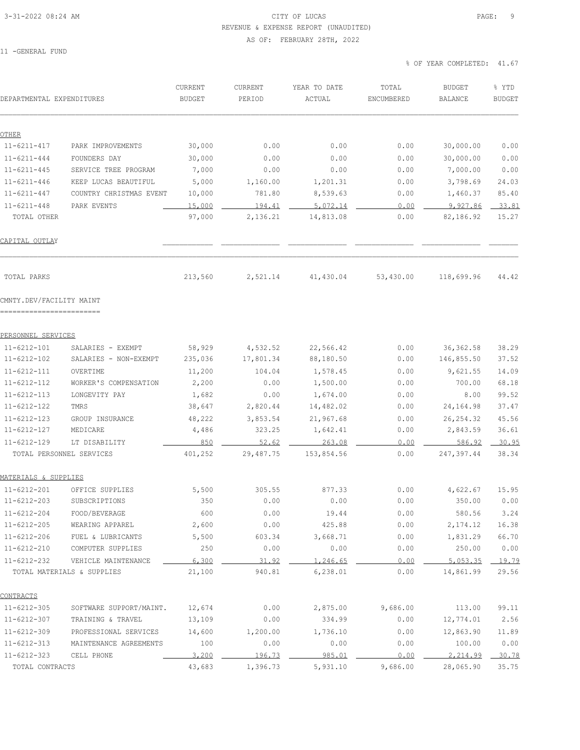### 3-31-2022 08:24 AM CITY OF LUCAS PAGE: 9 REVENUE & EXPENSE REPORT (UNAUDITED) AS OF: FEBRUARY 28TH, 2022

11 -GENERAL FUND

| DEPARTMENTAL EXPENDITURES              |                            | CURRENT<br><b>BUDGET</b> | CURRENT<br>PERIOD  | YEAR TO DATE<br>ACTUAL | TOTAL<br>ENCUMBERED | <b>BUDGET</b><br><b>BALANCE</b> | % YTD<br><b>BUDGET</b> |
|----------------------------------------|----------------------------|--------------------------|--------------------|------------------------|---------------------|---------------------------------|------------------------|
| OTHER                                  |                            |                          |                    |                        |                     |                                 |                        |
| $11 - 6211 - 417$                      | PARK IMPROVEMENTS          | 30,000                   | 0.00               | 0.00                   | 0.00                | 30,000.00                       | 0.00                   |
| $11 - 6211 - 444$                      | FOUNDERS DAY               | 30,000                   | 0.00               | 0.00                   | 0.00                | 30,000.00                       | 0.00                   |
| $11 - 6211 - 445$                      | SERVICE TREE PROGRAM       | 7,000                    | 0.00               | 0.00                   | 0.00                | 7,000.00                        | 0.00                   |
| $11 - 6211 - 446$                      | KEEP LUCAS BEAUTIFUL       | 5,000                    | 1,160.00           | 1,201.31               | 0.00                | 3,798.69                        | 24.03                  |
| $11 - 6211 - 447$                      | COUNTRY CHRISTMAS EVENT    | 10,000                   | 781.80             | 8,539.63               | 0.00                | 1,460.37                        | 85.40                  |
| $11 - 6211 - 448$                      | PARK EVENTS                | 15,000                   | 194.41             | 5.072.14               | 0.00                | 9,927.86                        | 33.81                  |
| TOTAL OTHER                            |                            | 97,000                   | 2,136.21           | 14,813.08              | 0.00                | 82,186.92                       | 15.27                  |
| <u>CAPITAL OUTLAY</u>                  |                            |                          |                    |                        |                     |                                 |                        |
| TOTAL PARKS                            |                            | 213,560                  | 2,521.14           | 41,430.04              | 53,430.00           | 118,699.96                      | 44.42                  |
| CMNTY.DEV/FACILITY MAINT               |                            |                          |                    |                        |                     |                                 |                        |
| PERSONNEL SERVICES                     |                            |                          |                    |                        |                     |                                 |                        |
| 11-6212-101                            | SALARIES - EXEMPT          | 58,929                   | 4,532.52           | 22,566.42              | 0.00                | 36, 362.58                      | 38.29                  |
| $11 - 6212 - 102$                      | SALARIES - NON-EXEMPT      | 235,036                  | 17,801.34          | 88,180.50              | 0.00                | 146,855.50                      | 37.52                  |
| 11-6212-111                            | OVERTIME                   | 11,200                   | 104.04             | 1,578.45               | 0.00                | 9,621.55                        | 14.09                  |
| $11 - 6212 - 112$                      | WORKER'S COMPENSATION      | 2,200                    | 0.00               | 1,500.00               | 0.00                | 700.00                          | 68.18                  |
| $11 - 6212 - 113$                      | LONGEVITY PAY              | 1,682                    | 0.00               | 1,674.00               | 0.00                | 8.00                            | 99.52                  |
| $11 - 6212 - 122$                      | TMRS                       | 38,647                   | 2,820.44           | 14,482.02              | 0.00                | 24,164.98                       | 37.47                  |
| $11 - 6212 - 123$                      | GROUP INSURANCE            | 48,222                   | 3,853.54           | 21,967.68              | 0.00                | 26, 254.32                      | 45.56                  |
| 11-6212-127                            | MEDICARE                   | 4,486                    | 323.25             | 1,642.41               | 0.00                | 2,843.59                        | 36.61                  |
| 11-6212-129                            | LT DISABILITY              | 850                      | 52.62              | 263.08                 | 0.00                | 586.92                          | 30.95                  |
| TOTAL PERSONNEL SERVICES               |                            | 401,252                  | 29,487.75          | 153,854.56             | 0.00                | 247,397.44                      | 38.34                  |
| MATERIALS & SUPPLIES                   |                            |                          |                    |                        |                     |                                 |                        |
| $11 - 6212 - 201$                      | OFFICE SUPPLIES            | 5,500                    | 305.55             | 877.33                 | 0.00                | 4,622.67                        | 15.95                  |
| $11 - 6212 - 203$                      | SUBSCRIPTIONS              | 350                      | 0.00               | 0.00                   | 0.00                | 350.00                          | 0.00                   |
| $11 - 6212 - 204$                      | FOOD/BEVERAGE              | 600                      | 0.00               | 19.44                  | 0.00                | 580.56                          | 3.24                   |
| $11 - 6212 - 205$                      | WEARING APPAREL            | 2,600                    | 0.00               | 425.88                 | 0.00                | 2,174.12                        | 16.38                  |
| $11 - 6212 - 206$                      | FUEL & LUBRICANTS          | 5,500                    | 603.34             | 3,668.71               | 0.00                | 1,831.29                        | 66.70                  |
| $11 - 6212 - 210$                      | COMPUTER SUPPLIES          | 250                      | 0.00               | 0.00                   | 0.00                | 250.00                          | 0.00                   |
| $11 - 6212 - 232$                      | VEHICLE MAINTENANCE        | 6,300                    | 31.92              | 1,246.65               | 0.00                | 5,053.35                        | 19.79                  |
|                                        | TOTAL MATERIALS & SUPPLIES | 21,100                   | 940.81             | 6, 238.01              | 0.00                | 14,861.99                       | 29.56                  |
| <u>CONTRACTS</u>                       |                            |                          |                    |                        |                     |                                 |                        |
| $11 - 6212 - 305$                      | SOFTWARE SUPPORT/MAINT.    | 12,674                   | 0.00               | 2,875.00               | 9,686.00            | 113.00                          | 99.11                  |
| $11 - 6212 - 307$                      | TRAINING & TRAVEL          | 13,109                   | 0.00               | 334.99                 | 0.00                | 12,774.01                       | 2.56                   |
| 11-6212-309                            | PROFESSIONAL SERVICES      | 14,600                   | 1,200.00           | 1,736.10               | 0.00                | 12,863.90                       | 11.89                  |
| $11 - 6212 - 313$<br>$11 - 6212 - 323$ | MAINTENANCE AGREEMENTS     | 100                      | 0.00               | 0.00                   | 0.00                | 100.00                          | 0.00                   |
| TOTAL CONTRACTS                        | CELL PHONE                 | 3,200<br>43,683          | 196.73<br>1,396.73 | 985.01<br>5,931.10     | 0.00<br>9,686.00    | 2,214.99<br>28,065.90           | 30.78<br>35.75         |
|                                        |                            |                          |                    |                        |                     |                                 |                        |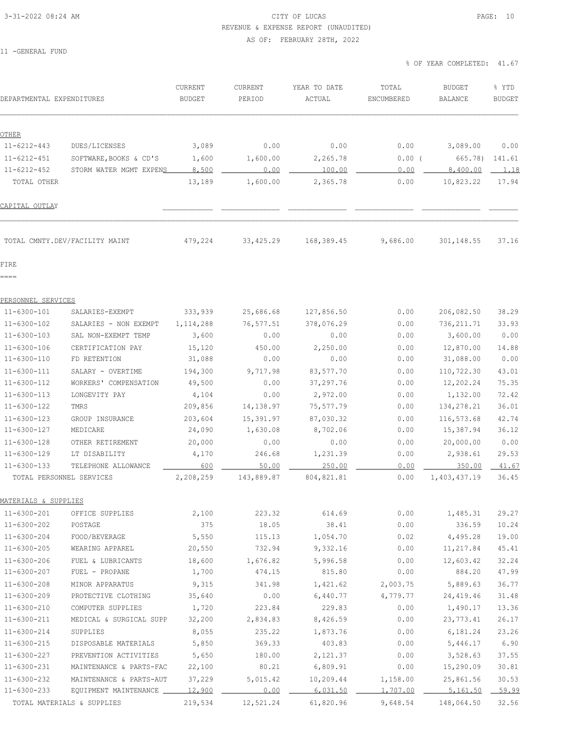# 3-31-2022 08:24 AM CITY OF LUCAS PAGE: 10 REVENUE & EXPENSE REPORT (UNAUDITED)

AS OF: FEBRUARY 28TH, 2022

11 -GENERAL FUND

| DEPARTMENTAL EXPENDITURES |                                | CURRENT<br><b>BUDGET</b> | CURRENT<br>PERIOD | YEAR TO DATE<br>ACTUAL | TOTAL<br>ENCUMBERED | <b>BUDGET</b><br><b>BALANCE</b> | % YTD<br><b>BUDGET</b> |
|---------------------------|--------------------------------|--------------------------|-------------------|------------------------|---------------------|---------------------------------|------------------------|
| OTHER                     |                                |                          |                   |                        |                     |                                 |                        |
| $11 - 6212 - 443$         | DUES/LICENSES                  | 3,089                    | 0.00              | 0.00                   | 0.00                | 3,089.00                        | 0.00                   |
| $11 - 6212 - 451$         | SOFTWARE, BOOKS & CD'S         | 1,600                    | 1,600.00          | 2,265.78               | 0.00(               | 665.78)                         | 141.61                 |
| $11 - 6212 - 452$         | STORM WATER MGMT EXPENS        | 8,500                    | 0.00              | 100.00                 | 0.00                | 8,400.00                        | 1.18                   |
| TOTAL OTHER               |                                | 13,189                   | 1,600.00          | 2,365.78               | 0.00                | 10,823.22                       | 17.94                  |
| CAPITAL OUTLAY            |                                |                          |                   |                        |                     |                                 |                        |
|                           | TOTAL CMNTY.DEV/FACILITY MAINT | 479,224                  | 33, 425.29        | 168,389.45             | 9,686.00            | 301,148.55                      | 37.16                  |
| FIRE                      |                                |                          |                   |                        |                     |                                 |                        |
| ====                      |                                |                          |                   |                        |                     |                                 |                        |
| PERSONNEL SERVICES        |                                |                          |                   |                        |                     |                                 |                        |
| $11 - 6300 - 101$         | SALARIES-EXEMPT                | 333,939                  | 25,686.68         | 127,856.50             | 0.00                | 206,082.50                      | 38.29                  |
| $11 - 6300 - 102$         | SALARIES - NON EXEMPT          | 1,114,288                | 76, 577.51        | 378,076.29             | 0.00                | 736, 211.71                     | 33.93                  |
| $11 - 6300 - 103$         | SAL NON-EXEMPT TEMP            | 3,600                    | 0.00              | 0.00                   | 0.00                | 3,600.00                        | 0.00                   |
| $11 - 6300 - 106$         | CERTIFICATION PAY              | 15,120                   | 450.00            | 2,250.00               | 0.00                | 12,870.00                       | 14.88                  |
| 11-6300-110               | FD RETENTION                   | 31,088                   | 0.00              | 0.00                   | 0.00                | 31,088.00                       | 0.00                   |
| $11 - 6300 - 111$         | SALARY - OVERTIME              | 194,300                  | 9,717.98          | 83,577.70              | 0.00                | 110,722.30                      | 43.01                  |
| $11 - 6300 - 112$         | WORKERS' COMPENSATION          | 49,500                   | 0.00              | 37,297.76              | 0.00                | 12,202.24                       | 75.35                  |
| $11 - 6300 - 113$         | LONGEVITY PAY                  | 4,104                    | 0.00              | 2,972.00               | 0.00                | 1,132.00                        | 72.42                  |
| $11 - 6300 - 122$         | TMRS                           | 209,856                  | 14,138.97         | 75,577.79              | 0.00                | 134,278.21                      | 36.01                  |
| $11 - 6300 - 123$         | GROUP INSURANCE                | 203,604                  | 15,391.97         | 87,030.32              | 0.00                | 116,573.68                      | 42.74                  |
| $11 - 6300 - 127$         | MEDICARE                       | 24,090                   | 1,630.08          | 8,702.06               | 0.00                | 15,387.94                       | 36.12                  |
| $11 - 6300 - 128$         | OTHER RETIREMENT               | 20,000                   | 0.00              | 0.00                   | 0.00                | 20,000.00                       | 0.00                   |
| 11-6300-129               | LT DISABILITY                  | 4,170                    | 246.68            | 1,231.39               | 0.00                | 2,938.61                        | 29.53                  |
| $11 - 6300 - 133$         | TELEPHONE ALLOWANCE            | 600                      | 50.00             | 250.00                 | 0.00                | 350.00                          | 41.67                  |
|                           | TOTAL PERSONNEL SERVICES       | 2,208,259                | 143,889.87        | 804, 821.81            | 0.00                | 1,403,437.19                    | 36.45                  |
| MATERIALS & SUPPLIES      |                                |                          |                   |                        |                     |                                 |                        |
| $11 - 6300 - 201$         | OFFICE SUPPLIES                | 2,100                    | 223.32            | 614.69                 | 0.00                | 1,485.31                        | 29.27                  |
| 11-6300-202               | POSTAGE                        | 375                      | 18.05             | 38.41                  | 0.00                | 336.59                          | 10.24                  |
| $11 - 6300 - 204$         | FOOD/BEVERAGE                  | 5,550                    | 115.13            | 1,054.70               | 0.02                | 4,495.28                        | 19.00                  |
| 11-6300-205               | WEARING APPAREL                | 20,550                   | 732.94            | 9,332.16               | 0.00                | 11,217.84                       | 45.41                  |
| 11-6300-206               | FUEL & LUBRICANTS              | 18,600                   | 1,676.82          | 5,996.58               | 0.00                | 12,603.42                       | 32.24                  |
| 11-6300-207               | FUEL - PROPANE                 | 1,700                    | 474.15            | 815.80                 | 0.00                | 884.20                          | 47.99                  |
| 11-6300-208               | MINOR APPARATUS                | 9,315                    | 341.98            | 1,421.62               | 2,003.75            | 5,889.63                        | 36.77                  |
| 11-6300-209               | PROTECTIVE CLOTHING            | 35,640                   | 0.00              | 6,440.77               | 4,779.77            | 24, 419.46                      | 31.48                  |
| 11-6300-210               | COMPUTER SUPPLIES              | 1,720                    | 223.84            | 229.83                 | 0.00                | 1,490.17                        | 13.36                  |
| 11-6300-211               | MEDICAL & SURGICAL SUPP        | 32,200                   | 2,834.83          | 8,426.59               | 0.00                | 23,773.41                       | 26.17                  |
| $11 - 6300 - 214$         | SUPPLIES                       | 8,055                    | 235.22            | 1,873.76               | 0.00                | 6,181.24                        | 23.26                  |
| 11-6300-215               | DISPOSABLE MATERIALS           | 5,850                    | 369.33            | 403.83                 | 0.00                | 5,446.17                        | 6.90                   |
| 11-6300-227               | PREVENTION ACTIVITIES          | 5,650                    | 180.00            | 2,121.37               | 0.00                | 3,528.63                        | 37.55                  |
| 11-6300-231               | MAINTENANCE & PARTS-FAC        | 22,100                   | 80.21             | 6,809.91               | 0.00                | 15,290.09                       | 30.81                  |
| 11-6300-232               | MAINTENANCE & PARTS-AUT        | 37,229                   | 5,015.42          | 10,209.44              | 1,158.00            | 25,861.56                       | 30.53                  |
| $11 - 6300 - 233$         | EQUIPMENT MAINTENANCE ____     | 12,900                   | 0.00              | 6,031.50               | 1,707.00            | 5,161.50                        | 59.99                  |
|                           | TOTAL MATERIALS & SUPPLIES     | 219,534                  | 12,521.24         | 61,820.96              | 9,648.54            | 148,064.50                      | 32.56                  |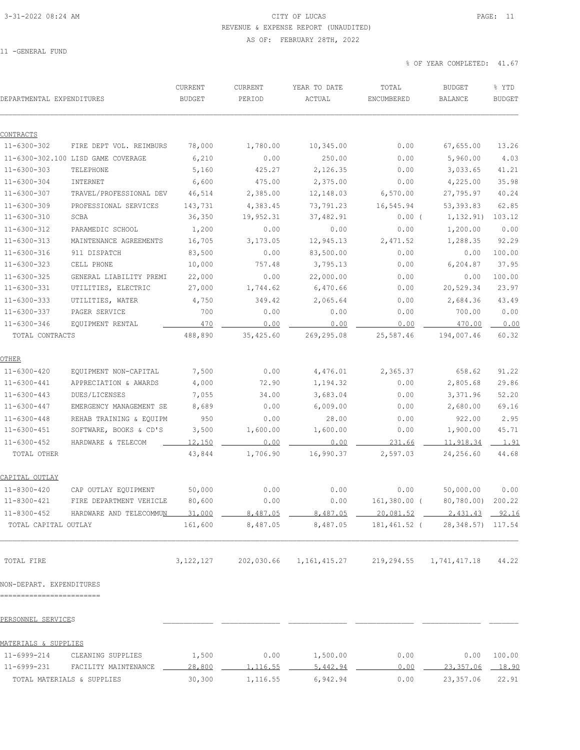### 3-31-2022 08:24 AM CITY OF LUCAS PAGE: 11 REVENUE & EXPENSE REPORT (UNAUDITED) AS OF: FEBRUARY 28TH, 2022

11 -GENERAL FUND

| DEPARTMENTAL EXPENDITURES      |                                    | CURRENT<br><b>BUDGET</b> | CURRENT<br>PERIOD | YEAR TO DATE<br>ACTUAL | TOTAL<br>ENCUMBERED | <b>BUDGET</b><br><b>BALANCE</b> | % YTD<br><b>BUDGET</b> |
|--------------------------------|------------------------------------|--------------------------|-------------------|------------------------|---------------------|---------------------------------|------------------------|
|                                |                                    |                          |                   |                        |                     |                                 |                        |
| CONTRACTS<br>$11 - 6300 - 302$ | FIRE DEPT VOL. REIMBURS            | 78,000                   | 1,780.00          | 10,345.00              | 0.00                | 67,655.00                       | 13.26                  |
|                                | 11-6300-302.100 LISD GAME COVERAGE | 6,210                    | 0.00              | 250.00                 | 0.00                | 5,960.00                        | 4.03                   |
| $11 - 6300 - 303$              | TELEPHONE                          | 5,160                    | 425.27            | 2,126.35               | 0.00                | 3,033.65                        | 41.21                  |
| $11 - 6300 - 304$              | INTERNET                           | 6,600                    | 475.00            | 2,375.00               | 0.00                | 4,225.00                        | 35.98                  |
| $11 - 6300 - 307$              | TRAVEL/PROFESSIONAL DEV            | 46,514                   | 2,385.00          | 12,148.03              | 6,570.00            | 27,795.97                       | 40.24                  |
| $11 - 6300 - 309$              | PROFESSIONAL SERVICES              | 143,731                  | 4,383.45          | 73,791.23              | 16,545.94           | 53, 393.83                      | 62.85                  |
| $11 - 6300 - 310$              | SCBA                               | 36,350                   | 19,952.31         | 37,482.91              | $0.00$ (            | 1,132.91)                       | 103.12                 |
| $11 - 6300 - 312$              | PARAMEDIC SCHOOL                   | 1,200                    | 0.00              | 0.00                   | 0.00                | 1,200.00                        | 0.00                   |
| $11 - 6300 - 313$              | MAINTENANCE AGREEMENTS             | 16,705                   | 3,173.05          | 12,945.13              | 2,471.52            | 1,288.35                        | 92.29                  |
| $11 - 6300 - 316$              | 911 DISPATCH                       | 83,500                   | 0.00              | 83,500.00              | 0.00                | 0.00                            | 100.00                 |
| $11 - 6300 - 323$              | CELL PHONE                         | 10,000                   | 757.48            | 3,795.13               | 0.00                | 6,204.87                        | 37.95                  |
| $11 - 6300 - 325$              | GENERAL LIABILITY PREMI            | 22,000                   | 0.00              | 22,000.00              | 0.00                | 0.00                            | 100.00                 |
| $11 - 6300 - 331$              | UTILITIES, ELECTRIC                | 27,000                   | 1,744.62          | 6,470.66               | 0.00                | 20,529.34                       | 23.97                  |
| $11 - 6300 - 333$              | UTILITIES, WATER                   | 4,750                    | 349.42            | 2,065.64               | 0.00                | 2,684.36                        | 43.49                  |
| 11-6300-337                    | PAGER SERVICE                      | 700                      | 0.00              | 0.00                   | 0.00                | 700.00                          | 0.00                   |
| $11 - 6300 - 346$              | EQUIPMENT RENTAL                   | 470                      | 0.00              | 0.00                   | 0.00                | 470.00                          | 0.00                   |
| TOTAL CONTRACTS                |                                    | 488,890                  | 35, 425.60        | 269,295.08             | 25,587.46           | 194,007.46                      | 60.32                  |
| OTHER                          |                                    |                          |                   |                        |                     |                                 |                        |
| $11 - 6300 - 420$              | EQUIPMENT NON-CAPITAL              | 7,500                    | 0.00              | 4,476.01               | 2,365.37            | 658.62                          | 91.22                  |
| $11 - 6300 - 441$              | APPRECIATION & AWARDS              | 4,000                    | 72.90             | 1,194.32               | 0.00                | 2,805.68                        | 29.86                  |
| $11 - 6300 - 443$              | DUES/LICENSES                      | 7,055                    | 34.00             | 3,683.04               | 0.00                | 3,371.96                        | 52.20                  |
| $11 - 6300 - 447$              | EMERGENCY MANAGEMENT SE            | 8,689                    | 0.00              | 6,009.00               | 0.00                | 2,680.00                        | 69.16                  |
| $11 - 6300 - 448$              | REHAB TRAINING & EQUIPM            | 950                      | 0.00              | 28.00                  | 0.00                | 922.00                          | 2.95                   |
| $11 - 6300 - 451$              | SOFTWARE, BOOKS & CD'S             | 3,500                    | 1,600.00          | 1,600.00               | 0.00                | 1,900.00                        | 45.71                  |
| $11 - 6300 - 452$              | HARDWARE & TELECOM                 | 12,150                   | 0.00              | 0.00                   | 231.66              | 11,918.34                       | 1.91                   |
| TOTAL OTHER                    |                                    | 43,844                   | 1,706.90          | 16,990.37              | 2,597.03            | 24,256.60                       | 44.68                  |
| <u>CAPITAL OUTLAY</u>          |                                    |                          |                   |                        |                     |                                 |                        |
| $11 - 8300 - 420$              | CAP OUTLAY EQUIPMENT               | 50,000                   | 0.00              | 0.00                   | 0.00                | 50,000.00                       | 0.00                   |
| $11 - 8300 - 421$              | FIRE DEPARTMENT VEHICLE            | 80,600                   | 0.00              | 0.00                   |                     | 161,380.00 (80,780.00) 200.22   |                        |
| $11 - 8300 - 452$              | HARDWARE AND TELECOMMUN            | 31,000                   | 8,487.05          | 8,487.05               | 20,081.52           | 2,431.43                        | 92.16                  |
| TOTAL CAPITAL OUTLAY           |                                    | 161,600                  | 8,487.05          | 8,487.05               | 181,461.52 (        | 28, 348.57) 117.54              |                        |
| TOTAL FIRE                     |                                    | 3, 122, 127              | 202,030.66        | 1, 161, 415.27         | 219,294.55          | 1,741,417.18                    | 44.22                  |
| NON-DEPART. EXPENDITURES       |                                    |                          |                   |                        |                     |                                 |                        |
| --------------------------     |                                    |                          |                   |                        |                     |                                 |                        |
| PERSONNEL SERVICES             |                                    |                          |                   |                        |                     |                                 |                        |
| MATERIALS & SUPPLIES           |                                    |                          |                   |                        |                     |                                 |                        |
| 11-6999-214                    | CLEANING SUPPLIES                  | 1,500                    | 0.00              | 1,500.00               | 0.00                | 0.00                            | 100.00                 |
| 11-6999-231                    | FACILITY MAINTENANCE               | 28,800                   | <u>1,116.55</u>   | 5,442.94               | 0.00                | 23,357.06                       | 18.90                  |
| TOTAL MATERIALS & SUPPLIES     |                                    | 30,300                   | 1,116.55          | 6,942.94               | 0.00                | 23,357.06                       | 22.91                  |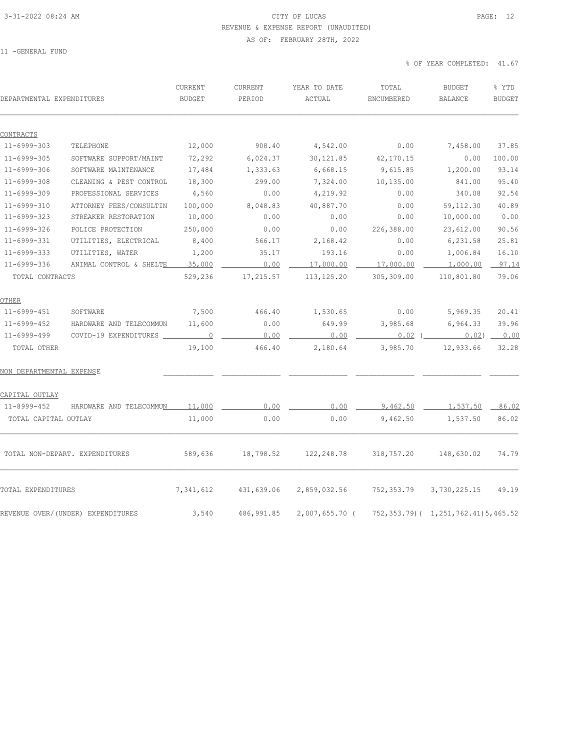### 3-31-2022 08:24 AM CITY OF LUCAS PAGE: 12 REVENUE & EXPENSE REPORT (UNAUDITED) AS OF: FEBRUARY 28TH, 2022

11 -GENERAL FUND

| DEPARTMENTAL EXPENDITURES      |                                   | CURRENT<br><b>BUDGET</b> | CURRENT<br>PERIOD | YEAR TO DATE<br>ACTUAL | TOTAL<br>ENCUMBERED | <b>BUDGET</b><br>BALANCE                 | % YTD<br><b>BUDGET</b> |
|--------------------------------|-----------------------------------|--------------------------|-------------------|------------------------|---------------------|------------------------------------------|------------------------|
|                                |                                   |                          |                   |                        |                     |                                          |                        |
| CONTRACTS<br>$11 - 6999 - 303$ | TELEPHONE                         | 12,000                   | 908.40            | 4,542.00               | 0.00                | 7,458.00                                 | 37.85                  |
| $11 - 6999 - 305$              | SOFTWARE SUPPORT/MAINT            | 72,292                   | 6,024.37          | 30, 121.85             | 42,170.15           | 0.00                                     | 100.00                 |
| $11 - 6999 - 306$              | SOFTWARE MAINTENANCE              | 17,484                   | 1,333.63          | 6,668.15               | 9,615.85            | 1,200.00                                 | 93.14                  |
| $11 - 6999 - 308$              | CLEANING & PEST CONTROL           | 18,300                   | 299.00            | 7,324.00               | 10,135.00           | 841.00                                   | 95.40                  |
| $11 - 6999 - 309$              | PROFESSIONAL SERVICES             | 4,560                    | 0.00              | 4,219.92               | 0.00                | 340.08                                   | 92.54                  |
| $11 - 6999 - 310$              | ATTORNEY FEES/CONSULTIN           | 100,000                  | 8,048.83          | 40,887.70              | 0.00                | 59, 112.30                               | 40.89                  |
| $11 - 6999 - 323$              | STREAKER RESTORATION              | 10,000                   | 0.00              | 0.00                   | 0.00                | 10,000.00                                | 0.00                   |
| 11-6999-326                    | POLICE PROTECTION                 | 250,000                  | 0.00              | 0.00                   | 226,388.00          | 23,612.00                                | 90.56                  |
| 11-6999-331                    | UTILITIES, ELECTRICAL             | 8,400                    | 566.17            | 2,168.42               | 0.00                | 6,231.58                                 | 25.81                  |
| $11 - 6999 - 333$              | UTILITIES, WATER                  | 1,200                    | 35.17             | 193.16                 | 0.00                | 1,006.84                                 | 16.10                  |
| 11-6999-336                    | ANIMAL CONTROL & SHELTE           | 35,000                   | 0.00              | 17,000.00              | 17,000.00           | 1,000.00                                 | 97.14                  |
| TOTAL CONTRACTS                |                                   | 529,236                  | 17,215.57         | 113, 125.20            | 305,309.00          | 110,801.80                               | 79.06                  |
| OTHER                          |                                   |                          |                   |                        |                     |                                          |                        |
| 11-6999-451                    | SOFTWARE                          | 7,500                    | 466.40            | 1,530.65               | 0.00                | 5,969.35                                 | 20.41                  |
| 11-6999-452                    | HARDWARE AND TELECOMMUN           | 11,600                   | 0.00              | 649.99                 | 3,985.68            | 6,964.33                                 | 39.96                  |
| $11 - 6999 - 499$              | COVID-19 EXPENDITURES             | $\overline{0}$           | 0.00              | 0.00                   | $0.02$ (            |                                          | $0.02)$ $0.00$         |
| TOTAL OTHER                    |                                   | 19,100                   | 466.40            | 2,180.64               | 3,985.70            | 12,933.66                                | 32.28                  |
| NON DEPARTMENTAL EXPENSE       |                                   |                          |                   |                        |                     |                                          |                        |
| CAPITAL OUTLAY                 |                                   |                          |                   |                        |                     |                                          |                        |
| 11-8999-452                    | HARDWARE AND TELECOMMUN           | 11,000                   | 0.00              | 0.00                   | 9,462.50            | 1,537.50                                 | 86.02                  |
| TOTAL CAPITAL OUTLAY           |                                   | 11,000                   | 0.00              | 0.00                   | 9,462.50            | 1,537.50                                 | 86.02                  |
|                                | TOTAL NON-DEPART. EXPENDITURES    | 589,636                  | 18,798.52         | 122, 248.78            | 318,757.20          | 148,630.02                               | 74.79                  |
| TOTAL EXPENDITURES             |                                   | 7,341,612                | 431,639.06        | 2,859,032.56           | 752,353.79          | 3,730,225.15                             | 49.19                  |
|                                | REVENUE OVER/(UNDER) EXPENDITURES | 3,540                    | 486, 991.85       | $2,007,655.70$ (       |                     | 752, 353.79) ( 1, 251, 762.41) 5, 465.52 |                        |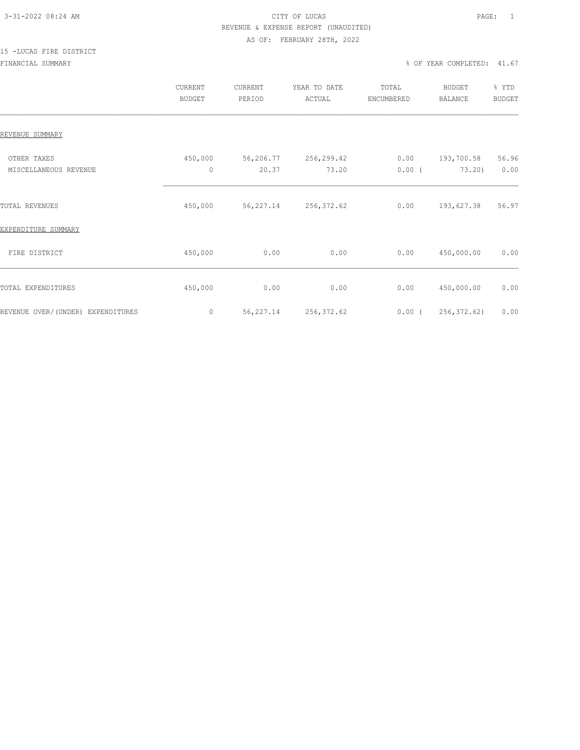### 3-31-2022 08:24 AM CITY OF LUCAS PAGE: 1 REVENUE & EXPENSE REPORT (UNAUDITED)

#### AS OF: FEBRUARY 28TH, 2022

# 15 -LUCAS FIRE DISTRICT

|                                      | CURRENT<br><b>BUDGET</b> | CURRENT<br>PERIOD  | YEAR TO DATE<br>ACTUAL | TOTAL<br>ENCUMBERED | <b>BUDGET</b><br><b>BALANCE</b> | % YTD<br><b>BUDGET</b> |
|--------------------------------------|--------------------------|--------------------|------------------------|---------------------|---------------------------------|------------------------|
| REVENUE SUMMARY                      |                          |                    |                        |                     |                                 |                        |
| OTHER TAXES<br>MISCELLANEOUS REVENUE | 450,000<br>0             | 56,206.77<br>20.37 | 256,299.42<br>73.20    | 0.00<br>$0.00$ (    | 193,700.58<br>73.20)            | 56.96<br>0.00          |
| TOTAL REVENUES                       | 450,000                  | 56,227.14          | 256, 372.62            | 0.00                | 193,627.38                      | 56.97                  |
| EXPENDITURE SUMMARY                  |                          |                    |                        |                     |                                 |                        |
| FIRE DISTRICT                        | 450,000                  | 0.00               | 0.00                   | 0.00                | 450,000.00                      | 0.00                   |
| TOTAL EXPENDITURES                   | 450,000                  | 0.00               | 0.00                   | 0.00                | 450,000.00                      | 0.00                   |
| REVENUE OVER/(UNDER) EXPENDITURES    | 0                        | 56, 227.14         | 256, 372.62            | $0.00$ (            | 256, 372.62)                    | 0.00                   |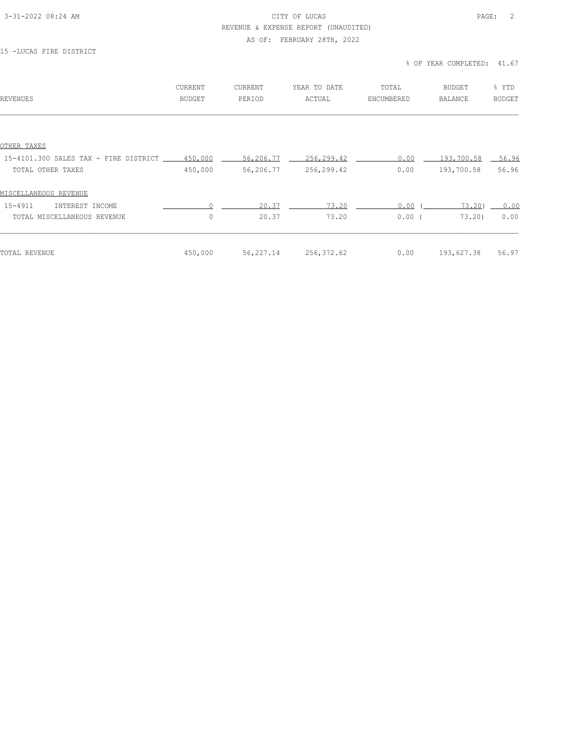#### 3-31-2022 08:24 AM CITY OF LUCAS PAGE: 2 REVENUE & EXPENSE REPORT (UNAUDITED)

### AS OF: FEBRUARY 28TH, 2022

### 15 -LUCAS FIRE DISTRICT

| REVENUES                                      | CURRENT<br>BUDGET | <b>CURRENT</b><br>PERIOD | YEAR TO DATE<br>ACTUAL | TOTAL<br>ENCUMBERED | <b>BUDGET</b><br><b>BALANCE</b> | % YTD<br><b>BUDGET</b> |
|-----------------------------------------------|-------------------|--------------------------|------------------------|---------------------|---------------------------------|------------------------|
|                                               |                   |                          |                        |                     |                                 |                        |
| OTHER TAXES                                   |                   |                          |                        |                     |                                 |                        |
| 15-4101.300 SALES TAX - FIRE DISTRICT 450,000 |                   | 56,206.77                | 256,299.42             | 0.00                | 193,700.58                      | $-56.96$               |
| TOTAL OTHER TAXES                             | 450,000           | 56,206.77                | 256,299.42             | 0.00                | 193,700.58                      | 56.96                  |
| MISCELLANEOUS REVENUE                         |                   |                          |                        |                     |                                 |                        |
| $15 - 4911$<br>INTEREST INCOME                | $\cap$            | 20.37                    | 73.20                  | 0.00                | 73.20                           | 0.00                   |
| TOTAL MISCELLANEOUS REVENUE                   | $\circ$           | 20.37                    | 73.20                  | 0.00(               | 73,20)                          | 0.00                   |
|                                               |                   |                          |                        |                     |                                 |                        |
| TOTAL REVENUE                                 | 450,000           | 56,227.14                | 256,372.62             | 0.00                | 193,627.38                      | 56.97                  |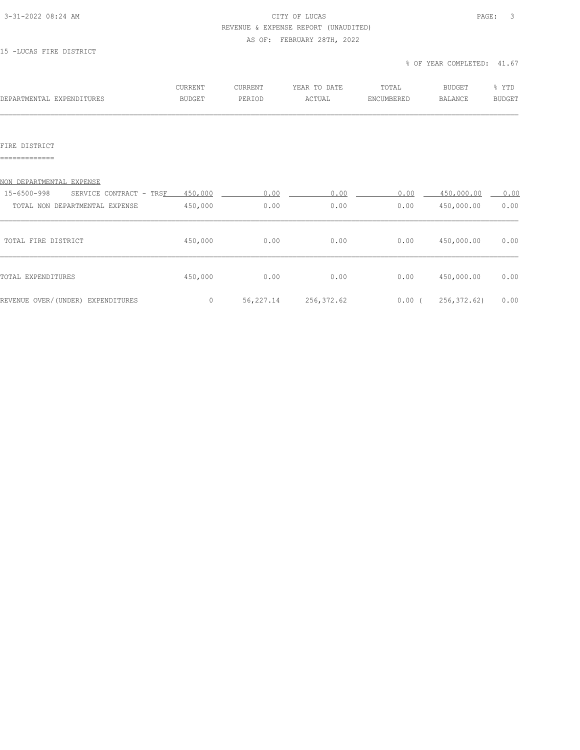#### 3-31-2022 08:24 AM CITY OF LUCAS PAGE: 3 REVENUE & EXPENSE REPORT (UNAUDITED)

AS OF: FEBRUARY 28TH, 2022

### 15 -LUCAS FIRE DISTRICT

% OF YEAR COMPLETED: 41.67

| DEPARTMENTAL EXPENDITURES | <b>CURRENT</b> | <b>CURRENT</b> | YEAR TO DATE | TOTAL      | BUDGET  | % YTD  |
|---------------------------|----------------|----------------|--------------|------------|---------|--------|
|                           | BUDGET         | PERIOD         | ACTUAL       | ENCUMBERED | BALANCE | BUDGET |
|                           |                |                |              |            |         |        |

### FIRE DISTRICT

=============

| NON DEPARTMENTAL EXPENSE               |         |           |             |          |             |      |
|----------------------------------------|---------|-----------|-------------|----------|-------------|------|
| 15-6500-998<br>SERVICE CONTRACT - TRSF | 450,000 | 0.00      | 0.00        | 0.00     | 450,000.00  | 0.00 |
| TOTAL NON DEPARTMENTAL EXPENSE         | 450,000 | 0.00      | 0.00        | 0.00     | 450,000.00  | 0.00 |
| TOTAL FIRE DISTRICT                    | 450,000 | 0.00      | 0.00        | 0.00     | 450,000.00  | 0.00 |
|                                        |         |           |             |          |             |      |
| TOTAL EXPENDITURES                     | 450,000 | 0.00      | 0.00        | 0.00     | 450,000.00  | 0.00 |
| REVENUE OVER/(UNDER) EXPENDITURES      | 0       | 56,227.14 | 256, 372.62 | $0.00$ ( | 256,372.62) | 0.00 |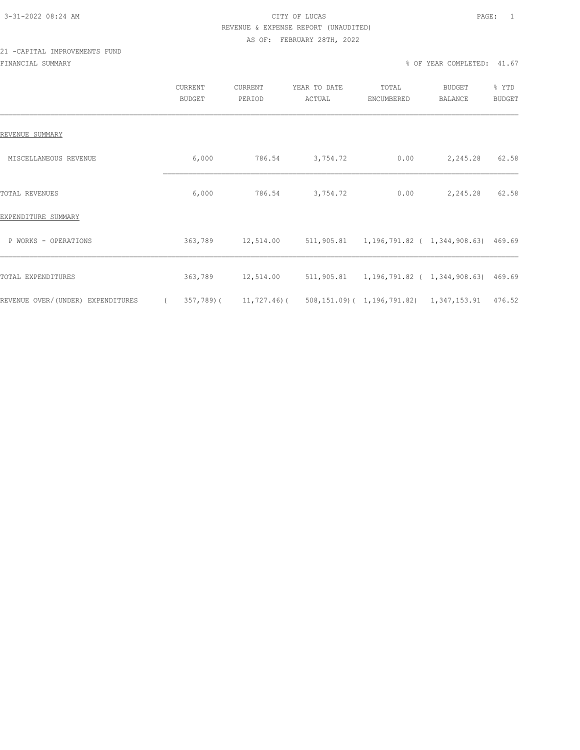# 3-31-2022 08:24 AM CITY OF LUCAS PAGE: 1 REVENUE & EXPENSE REPORT (UNAUDITED)

#### AS OF: FEBRUARY 28TH, 2022

### 21 -CAPITAL IMPROVEMENTS FUND FINANCIAL SUMMARY % OF YEAR COMPLETED: 41.67

|                                   | CURRENT<br><b>BUDGET</b> | <b>CURRENT</b><br>PERIOD  | YEAR TO DATE<br>ACTUAL | TOTAL<br>ENCUMBERED                                  | BUDGET<br>BALANCE | % YTD<br><b>BUDGET</b> |
|-----------------------------------|--------------------------|---------------------------|------------------------|------------------------------------------------------|-------------------|------------------------|
| REVENUE SUMMARY                   |                          |                           |                        |                                                      |                   |                        |
| MISCELLANEOUS REVENUE             | 6,000                    | 786.54                    | 3,754.72               | 0.00                                                 | 2,245.28          | 62.58                  |
| <b>TOTAL REVENUES</b>             | 6,000                    | 786.54                    | 3,754.72               | 0.00                                                 | 2,245.28          | 62.58                  |
| EXPENDITURE SUMMARY               |                          |                           |                        |                                                      |                   |                        |
| P WORKS - OPERATIONS              | 363,789                  | 12,514.00                 |                        | 511,905.81  1,196,791.82  ( 1,344,908.63)  469.69    |                   |                        |
| TOTAL EXPENDITURES                | 363,789                  | 12,514.00                 |                        | 511,905.81  1,196,791.82  ( 1,344,908.63)  469.69    |                   |                        |
| REVENUE OVER/(UNDER) EXPENDITURES |                          | $357,789$ ( $11,727.46$ ( |                        | 508, 151.09) ( 1, 196, 791.82) 1, 347, 153.91 476.52 |                   |                        |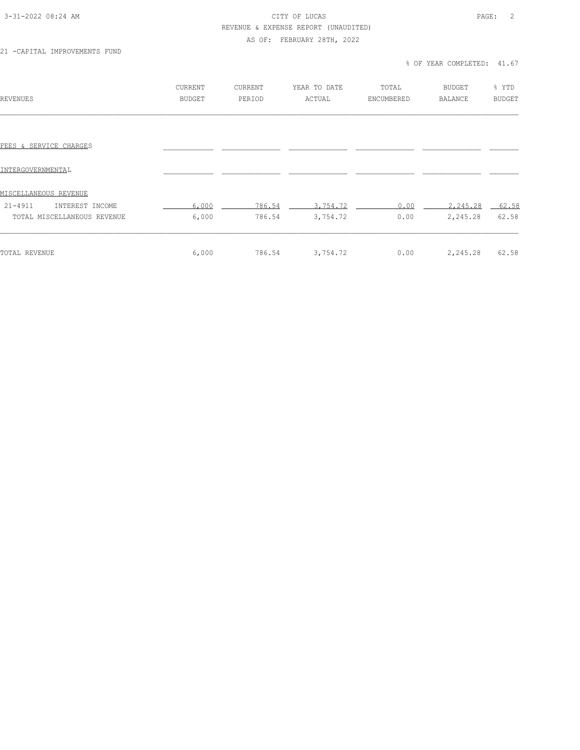#### 3-31-2022 08:24 AM CITY OF LUCAS PAGE: 2 REVENUE & EXPENSE REPORT (UNAUDITED)

### AS OF: FEBRUARY 28TH, 2022

21 -CAPITAL IMPROVEMENTS FUND

| REVENUES                       | CURRENT<br><b>BUDGET</b> | <b>CURRENT</b><br>PERIOD | YEAR TO DATE<br>ACTUAL | TOTAL<br>ENCUMBERED | <b>BUDGET</b><br><b>BALANCE</b> | % YTD<br><b>BUDGET</b> |
|--------------------------------|--------------------------|--------------------------|------------------------|---------------------|---------------------------------|------------------------|
|                                |                          |                          |                        |                     |                                 |                        |
| FEES & SERVICE CHARGES         |                          |                          |                        |                     |                                 |                        |
| INTERGOVERNMENTAL              |                          |                          |                        |                     |                                 |                        |
| <u>MISCELLANEOUS REVENUE</u>   |                          |                          |                        |                     |                                 |                        |
| $21 - 4911$<br>INTEREST INCOME | 6,000                    | 786.54                   | 3,754.72               | 0.00                | 2,245.28                        | $-62.58$               |
| TOTAL MISCELLANEOUS REVENUE    | 6,000                    | 786.54                   | 3,754.72               | 0.00                | 2,245.28                        | 62.58                  |
| TOTAL REVENUE                  | 6,000                    | 786.54                   | 3,754.72               | 0.00                | 2,245.28                        | 62.58                  |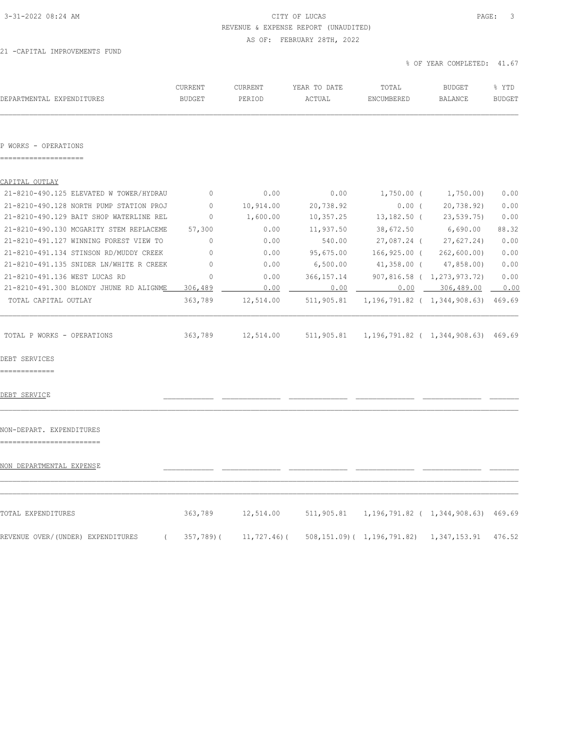## 3-31-2022 08:24 AM CITY OF LUCAS PAGE: 3 REVENUE & EXPENSE REPORT (UNAUDITED)

AS OF: FEBRUARY 28TH, 2022

21 -CAPITAL IMPROVEMENTS FUND

| DEPARTMENTAL EXPENDITURES                       | CURRENT<br><b>BUDGET</b> | CURRENT<br>PERIOD | YEAR TO DATE<br>ACTUAL | TOTAL<br>ENCUMBERED                                  | <b>BUDGET</b><br>BALANCE    | % YTD<br><b>BUDGET</b> |
|-------------------------------------------------|--------------------------|-------------------|------------------------|------------------------------------------------------|-----------------------------|------------------------|
| P WORKS - OPERATIONS                            |                          |                   |                        |                                                      |                             |                        |
| CAPITAL OUTLAY                                  |                          |                   |                        |                                                      |                             |                        |
| 21-8210-490.125 ELEVATED W TOWER/HYDRAU         | $\overline{0}$           | 0.00              | 0.00                   | $1,750.00$ ( $1,750.00$ )                            |                             | 0.00                   |
| 21-8210-490.128 NORTH PUMP STATION PROJ         | $\circ$                  | 10,914.00         | 20,738.92              | $0.00$ (                                             | 20,738.92)                  | 0.00                   |
| 21-8210-490.129 BAIT SHOP WATERLINE REL         | $\mathbf{0}$             | 1,600.00          | 10,357.25              | 13,182.50 (                                          | 23,539.75)                  | 0.00                   |
| 21-8210-490.130 MCGARITY STEM REPLACEME         | 57,300                   | 0.00              | 11,937.50              | 38,672.50                                            | 6,690.00                    | 88.32                  |
| 21-8210-491.127 WINNING FOREST VIEW TO          | $\circ$                  | 0.00              | 540.00                 | 27,087.24 (                                          | 27,627.24)                  | 0.00                   |
| 21-8210-491.134 STINSON RD/MUDDY CREEK          | $\circ$                  | 0.00              | 95,675.00              |                                                      | $166, 925.00$ ( 262,600.00) | 0.00                   |
| 21-8210-491.135 SNIDER LN/WHITE R CREEK         | 0                        | 0.00              | 6,500.00               |                                                      | 41,358.00 (47,858.00)       | 0.00                   |
| 21-8210-491.136 WEST LUCAS RD                   | $\circ$                  | 0.00              | 366, 157. 14           |                                                      | 907,816.58 ( 1,273,973.72)  | 0.00                   |
| 21-8210-491.300 BLONDY JHUNE RD ALIGNME         | 306,489                  | 0.00              |                        | $0.00$ $0.00$ $306,489.00$                           |                             | 0.00                   |
| TOTAL CAPITAL OUTLAY                            | 363,789                  | 12,514.00         |                        | 511,905.81  1,196,791.82  ( 1,344,908.63)  469.69    |                             |                        |
| TOTAL P WORKS - OPERATIONS                      |                          | 363,789 12,514.00 |                        | 511,905.81  1,196,791.82  ( 1,344,908.63)  469.69    |                             |                        |
| DEBT SERVICES<br>-------------                  |                          |                   |                        |                                                      |                             |                        |
| DEBT SERVICE                                    |                          |                   |                        |                                                      |                             |                        |
| NON-DEPART. EXPENDITURES                        |                          |                   |                        |                                                      |                             |                        |
| NON DEPARTMENTAL EXPENSE                        |                          |                   |                        |                                                      |                             |                        |
| TOTAL EXPENDITURES                              | 363,789                  | 12,514.00         |                        | 511,905.81  1,196,791.82  ( 1,344,908.63)  469.69    |                             |                        |
| REVENUE OVER/(UNDER) EXPENDITURES<br>$\sqrt{2}$ | 357,789)(                | 11,727.46)(       |                        | 508, 151.09) ( 1, 196, 791.82) 1, 347, 153.91 476.52 |                             |                        |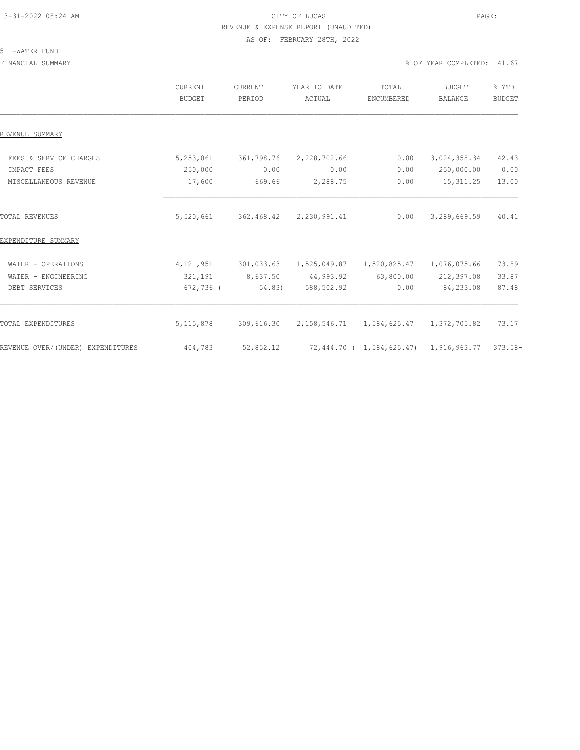### 3-31-2022 08:24 AM CITY OF LUCAS PAGE: 1 REVENUE & EXPENSE REPORT (UNAUDITED) AS OF: FEBRUARY 28TH, 2022

#### 51 -WATER FUND

FINANCIAL SUMMARY % OF YEAR COMPLETED: 41.67

|                                   | CURRENT<br><b>BUDGET</b> | CURRENT<br>PERIOD | YEAR TO DATE<br>ACTUAL | TOTAL<br>ENCUMBERED                            | <b>BUDGET</b><br><b>BALANCE</b> | % YTD<br><b>BUDGET</b> |
|-----------------------------------|--------------------------|-------------------|------------------------|------------------------------------------------|---------------------------------|------------------------|
| REVENUE SUMMARY                   |                          |                   |                        |                                                |                                 |                        |
| FEES & SERVICE CHARGES            | 5,253,061                | 361,798.76        | 2,228,702.66           | 0.00                                           | 3,024,358.34                    | 42.43                  |
| IMPACT FEES                       | 250,000                  | 0.00              | 0.00                   | 0.00                                           | 250,000.00                      | 0.00                   |
| MISCELLANEOUS REVENUE             | 17,600                   | 669.66            | 2,288.75               | 0.00                                           | 15, 311.25                      | 13.00                  |
| <b>TOTAL REVENUES</b>             | 5,520,661                | 362,468.42        | 2,230,991.41           | 0.00                                           | 3,289,669.59                    | 40.41                  |
| EXPENDITURE SUMMARY               |                          |                   |                        |                                                |                                 |                        |
| WATER - OPERATIONS                | 4,121,951                | 301,033.63        | 1,525,049.87           | 1,520,825.47                                   | 1,076,075.66                    | 73.89                  |
| WATER - ENGINEERING               | 321,191                  | 8,637.50          | 44,993.92              | 63,800.00                                      | 212,397.08                      | 33.87                  |
| DEBT SERVICES                     | $672,736$ (              | 54.83)            | 588,502.92             | 0.00                                           | 84,233.08                       | 87.48                  |
| <b>TOTAL EXPENDITURES</b>         | 5, 115, 878              | 309,616.30        | 2,158,546.71           | 1,584,625.47                                   | 1,372,705.82                    | 73.17                  |
| REVENUE OVER/(UNDER) EXPENDITURES | 404,783                  | 52,852.12         |                        | 72,444.70 ( 1,584,625.47) 1,916,963.77 373.58- |                                 |                        |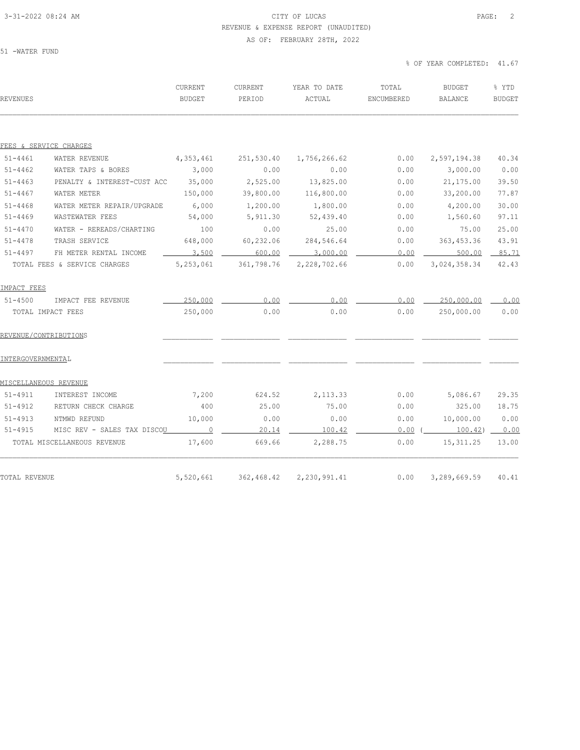### 3-31-2022 08:24 AM CITY OF LUCAS PAGE: 2 REVENUE & EXPENSE REPORT (UNAUDITED) AS OF: FEBRUARY 28TH, 2022

51 -WATER FUND

| REVENUES          |                                     | CURRENT<br>BUDGET | CURRENT<br>PERIOD | YEAR TO DATE<br>ACTUAL | TOTAL<br>ENCUMBERED | BUDGET<br>BALANCE | % YTD<br><b>BUDGET</b> |
|-------------------|-------------------------------------|-------------------|-------------------|------------------------|---------------------|-------------------|------------------------|
|                   |                                     |                   |                   |                        |                     |                   |                        |
|                   | FEES & SERVICE CHARGES              |                   |                   |                        |                     |                   |                        |
| $51 - 4461$       | WATER REVENUE                       | 4,353,461         | 251,530.40        | 1,756,266.62           | 0.00                | 2,597,194.38      | 40.34                  |
| $51 - 4462$       | WATER TAPS & BORES                  | 3,000             | 0.00              | 0.00                   | 0.00                | 3,000.00          | 0.00                   |
| $51 - 4463$       | PENALTY & INTEREST-CUST ACC         | 35,000            | 2,525.00          | 13,825.00              | 0.00                | 21,175.00         | 39.50                  |
| $51 - 4467$       | WATER METER                         | 150,000           | 39,800.00         | 116,800.00             | 0.00                | 33,200.00         | 77.87                  |
| $51 - 4468$       | WATER METER REPAIR/UPGRADE          | 6,000             | 1,200.00          | 1,800.00               | 0.00                | 4,200.00          | 30.00                  |
| $51 - 4469$       | WASTEWATER FEES                     | 54,000            | 5,911.30          | 52,439.40              | 0.00                | 1,560.60          | 97.11                  |
| $51 - 4470$       | WATER - REREADS/CHARTING            | 100               | 0.00              | 25.00                  | 0.00                | 75.00             | 25.00                  |
| $51 - 4478$       | TRASH SERVICE                       | 648,000           | 60,232.06         | 284,546.64             | 0.00                | 363, 453.36       | 43.91                  |
| $51 - 4497$       | FH METER RENTAL INCOME              | 3,500             | 600.00            | 3,000.00               | 0.00                | 500.00            | 85.71                  |
|                   | TOTAL FEES & SERVICE CHARGES        | 5,253,061         | 361,798.76        | 2,228,702.66           | 0.00                | 3,024,358.34      | 42.43                  |
| IMPACT FEES       |                                     |                   |                   |                        |                     |                   |                        |
| $51 - 4500$       | IMPACT FEE REVENUE                  | 250,000           | 0.00              | 0.00                   | 0.00                | 250,000.00        | 0.00                   |
|                   | TOTAL IMPACT FEES                   | 250,000           | 0.00              | 0.00                   | 0.00                | 250,000.00        | 0.00                   |
|                   | REVENUE/CONTRIBUTIONS               |                   |                   |                        |                     |                   |                        |
| INTERGOVERNMENTAL |                                     |                   |                   |                        |                     |                   |                        |
|                   | MISCELLANEOUS REVENUE               |                   |                   |                        |                     |                   |                        |
| $51 - 4911$       | INTEREST INCOME                     | 7,200             | 624.52            | 2, 113.33              | 0.00                | 5,086.67          | 29.35                  |
| $51 - 4912$       | RETURN CHECK CHARGE                 | 400               | 25.00             | 75.00                  | 0.00                | 325.00            | 18.75                  |
| $51 - 4913$       | NTMWD REFUND                        | 10,000            | 0.00              | 0.00                   | 0.00                | 10,000.00         | 0.00                   |
| $51 - 4915$       | MISC REV - SALES TAX DISCO <u>U</u> | $\sim$ 0          | 20.14             | 100.42                 | 0.00                | 100.42            | 0.00                   |
|                   | TOTAL MISCELLANEOUS REVENUE         | 17,600            | 669.66            | 2,288.75               | 0.00                | 15, 311.25        | 13.00                  |
|                   |                                     |                   |                   |                        |                     |                   |                        |
| TOTAL REVENUE     |                                     | 5,520,661         | 362,468.42        | 2,230,991.41           | 0.00                | 3,289,669.59      | 40.41                  |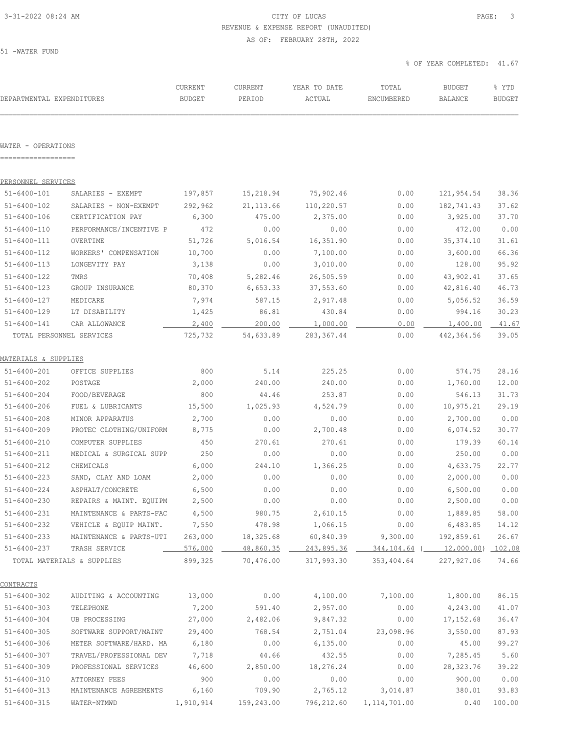### 3-31-2022 08:24 AM CITY OF LUCAS PAGE: 3 REVENUE & EXPENSE REPORT (UNAUDITED) AS OF: FEBRUARY 28TH, 2022

51 -WATER FUND

| DEPARTMENTAL EXPENDITURES                |                                                                                     | CURRENT<br><b>BUDGET</b> | CURRENT<br>PERIOD    | YEAR TO DATE<br>ACTUAL | TOTAL<br>ENCUMBERED                                        | <b>BUDGET</b><br>BALANCE | % YTD<br><b>BUDGET</b> |
|------------------------------------------|-------------------------------------------------------------------------------------|--------------------------|----------------------|------------------------|------------------------------------------------------------|--------------------------|------------------------|
|                                          |                                                                                     |                          |                      |                        |                                                            |                          |                        |
| WATER - OPERATIONS<br>------------------ |                                                                                     |                          |                      |                        |                                                            |                          |                        |
|                                          |                                                                                     |                          |                      |                        |                                                            |                          |                        |
| PERSONNEL SERVICES<br>$51 - 6400 - 101$  |                                                                                     |                          |                      |                        |                                                            |                          |                        |
|                                          | SALARIES - EXEMPT                                                                   | 197,857                  | 15,218.94            | 75,902.46              | 0.00                                                       | 121,954.54               | 38.36                  |
| $51 - 6400 - 102$<br>$51 - 6400 - 106$   | SALARIES - NON-EXEMPT<br>CERTIFICATION PAY                                          | 292,962<br>6,300         | 21, 113.66<br>475.00 | 110,220.57<br>2,375.00 | 0.00<br>0.00                                               | 182,741.43<br>3,925.00   | 37.62<br>37.70         |
| $51 - 6400 - 110$                        | PERFORMANCE/INCENTIVE P                                                             | 472                      | 0.00                 | 0.00                   | 0.00                                                       | 472.00                   | 0.00                   |
| 51-6400-111                              | OVERTIME                                                                            | 51,726                   | 5,016.54             | 16, 351.90             | 0.00                                                       | 35, 374.10               | 31.61                  |
| $51 - 6400 - 112$                        | WORKERS' COMPENSATION                                                               | 10,700                   | 0.00                 | 7,100.00               | 0.00                                                       | 3,600.00                 | 66.36                  |
| $51 - 6400 - 113$                        | LONGEVITY PAY                                                                       | 3,138                    | 0.00                 | 3,010.00               | 0.00                                                       | 128.00                   | 95.92                  |
| $51 - 6400 - 122$                        | TMRS                                                                                | 70,408                   | 5,282.46             | 26,505.59              | 0.00                                                       | 43,902.41                | 37.65                  |
| $51 - 6400 - 123$                        | GROUP INSURANCE                                                                     | 80,370                   | 6,653.33             | 37,553.60              | 0.00                                                       | 42,816.40                | 46.73                  |
| $51 - 6400 - 127$                        | MEDICARE                                                                            | 7,974                    | 587.15               | 2,917.48               | 0.00                                                       | 5,056.52                 | 36.59                  |
| $51 - 6400 - 129$                        | LT DISABILITY                                                                       | 1,425                    | 86.81                | 430.84                 | 0.00                                                       | 994.16                   | 30.23                  |
| $51 - 6400 - 141$                        | CAR ALLOWANCE                                                                       | 2,400                    | 200.00               | 1,000.00               | 0.00                                                       | 1,400.00                 | 41.67                  |
|                                          | TOTAL PERSONNEL SERVICES                                                            | 725,732                  | 54,633.89            | 283, 367.44            | 0.00                                                       | 442,364.56               | 39.05                  |
| MATERIALS & SUPPLIES                     |                                                                                     |                          |                      |                        |                                                            |                          |                        |
| $51 - 6400 - 201$                        | OFFICE SUPPLIES                                                                     | 800                      | 5.14                 | 225.25                 | 0.00                                                       | 574.75                   | 28.16                  |
| $51 - 6400 - 202$                        | POSTAGE                                                                             | 2,000                    | 240.00               | 240.00                 | 0.00                                                       | 1,760.00                 | 12.00                  |
| $51 - 6400 - 204$                        | FOOD/BEVERAGE                                                                       | 800                      | 44.46                | 253.87                 | 0.00                                                       | 546.13                   | 31.73                  |
| $51 - 6400 - 206$                        | FUEL & LUBRICANTS                                                                   | 15,500                   | 1,025.93             | 4,524.79               | 0.00                                                       | 10,975.21                | 29.19                  |
| $51 - 6400 - 208$                        | MINOR APPARATUS                                                                     | 2,700                    | 0.00                 | 0.00                   | 0.00                                                       | 2,700.00                 | 0.00                   |
| $51 - 6400 - 209$                        | PROTEC CLOTHING/UNIFORM                                                             | 8,775                    | 0.00                 | 2,700.48               | 0.00                                                       | 6,074.52                 | 30.77                  |
| $51 - 6400 - 210$                        | COMPUTER SUPPLIES                                                                   | 450                      | 270.61               | 270.61                 | 0.00                                                       | 179.39                   | 60.14                  |
| $51 - 6400 - 211$                        | MEDICAL & SURGICAL SUPP                                                             | 250                      | 0.00                 | 0.00                   | 0.00                                                       | 250.00                   | 0.00                   |
| $51 - 6400 - 212$                        | CHEMICALS                                                                           | 6,000                    | 244.10               | 1,366.25               | 0.00                                                       | 4,633.75                 | 22.77                  |
| $51 - 6400 - 223$                        | SAND, CLAY AND LOAM                                                                 | 2,000                    | 0.00                 | 0.00                   | 0.00                                                       | 2,000.00                 | 0.00                   |
| $51 - 6400 - 224$                        | ASPHALT/CONCRETE                                                                    | 6,500                    | 0.00                 | 0.00                   | 0.00                                                       | 6,500.00                 | 0.00                   |
| 51-6400-230                              | REPAIRS & MAINT. EQUIPM                                                             | 2,500                    | 0.00                 | 0.00                   | 0.00                                                       | 2,500.00                 | 0.00                   |
| $51 - 6400 - 231$                        | MAINTENANCE & PARTS-FAC                                                             | 4,500                    |                      | 980.75 2,610.15        | 0.00                                                       | 1,889.85                 | 58.00                  |
|                                          | 51-6400-232 VEHICLE & EQUIP MAINT. 7,550                                            |                          | 478.98               | 1,066.15               | 0.00                                                       | 6,483.85                 | 14.12                  |
|                                          | 51-6400-233 MAINTENANCE & PARTS-UTI 263,000 18,325.68 60,840.39 9,300.00 192,859.61 |                          |                      |                        |                                                            |                          | 26.67                  |
|                                          | 51-6400-237 TRASH SERVICE                                                           |                          |                      |                        | 576,000 48,860.35 243,895.36 344,104.64 (12,000.00) 102.08 |                          |                        |
|                                          | TOTAL MATERIALS & SUPPLIES                                                          |                          |                      |                        | 899,325 70,476.00 317,993.30 353,404.64 227,927.06         |                          | 74.66                  |
| CONTRACTS                                |                                                                                     |                          |                      |                        |                                                            |                          |                        |
| $51 - 6400 - 302$                        | AUDITING & ACCOUNTING 13,000                                                        |                          |                      |                        | $0.00$ 4,100.00 7,100.00 1,800.00                          |                          | 86.15                  |
| $51 - 6400 - 303$                        | TELEPHONE                                                                           |                          | 7,200 591.40         | 2,957.00               |                                                            | $0.00$ $4,243.00$        | 41.07                  |
| $51 - 6400 - 304$                        | UB PROCESSING 27,000 2,482.06 9,847.32                                              |                          |                      |                        | 0.00                                                       | 17,152.68                | 36.47                  |
| $51 - 6400 - 305$                        | SOFTWARE SUPPORT/MAINT 29,400 768.54 2,751.04 23,098.96 3,550.00                    |                          |                      |                        |                                                            |                          | 87.93                  |
| $51 - 6400 - 306$                        | METER SOFTWARE/HARD. MA 6,180                                                       |                          |                      | $0.00$ 6,135.00        | 0.00                                                       | 45.00                    | 99.27                  |
| $51 - 6400 - 307$                        | TRAVEL/PROFESSIONAL DEV                                                             | 7,718                    | 44.66                | 432.55                 |                                                            | $0.00$ 7,285.45          | 5.60                   |
| $51 - 6400 - 309$                        | PROFESSIONAL SERVICES                                                               | 46,600                   | 2,850.00             | 18,276.24              | 0.00                                                       | 28,323.76                | 39.22                  |
| $51 - 6400 - 310$                        | ATTORNEY FEES                                                                       | 900                      | 0.00                 | 0.00                   | 0.00                                                       | 900.00                   | 0.00                   |
| $51 - 6400 - 313$                        | MAINTENANCE AGREEMENTS                                                              | 6,160                    | 709.90               |                        | 2,765.12 3,014.87                                          | 380.01                   | 93.83                  |
| $51 - 6400 - 315$                        | WATER-NTMWD                                                                         |                          | 1,910,914 159,243.00 |                        | 796,212.60 1,114,701.00                                    | 0.40                     | 100.00                 |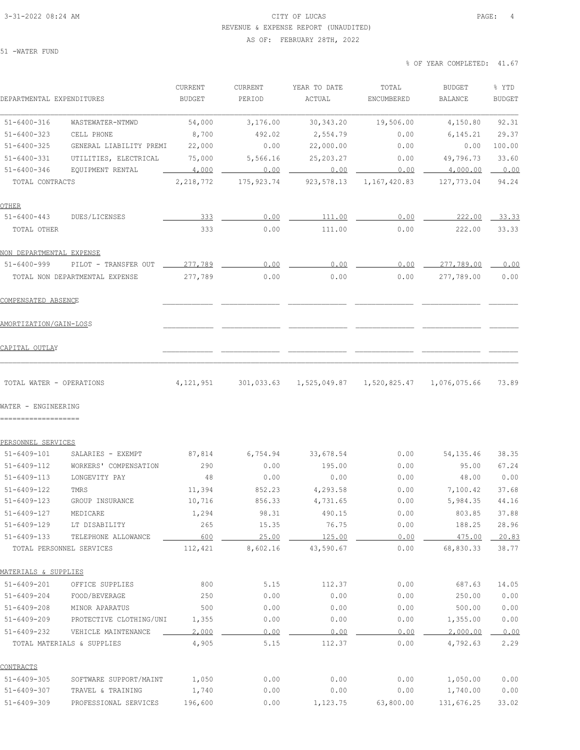### 3-31-2022 08:24 AM CITY OF LUCAS PAGE: 4 REVENUE & EXPENSE REPORT (UNAUDITED)

AS OF: FEBRUARY 28TH, 2022

51 -WATER FUND

| DEPARTMENTAL EXPENDITURES      |                         | CURRENT<br><b>BUDGET</b> | CURRENT<br>PERIOD | YEAR TO DATE<br>ACTUAL | TOTAL<br>ENCUMBERED | <b>BUDGET</b><br>BALANCE | % YTD<br><b>BUDGET</b> |
|--------------------------------|-------------------------|--------------------------|-------------------|------------------------|---------------------|--------------------------|------------------------|
| $51 - 6400 - 316$              | WASTEWATER-NTMWD        | 54,000                   | 3,176.00          | 30, 343.20             | 19,506.00           | 4,150.80                 | 92.31                  |
| $51 - 6400 - 323$              | CELL PHONE              | 8,700                    | 492.02            | 2,554.79               | 0.00                | 6, 145.21                | 29.37                  |
| $51 - 6400 - 325$              | GENERAL LIABILITY PREMI | 22,000                   | 0.00              | 22,000.00              | 0.00                | 0.00                     | 100.00                 |
| $51 - 6400 - 331$              | UTILITIES, ELECTRICAL   | 75,000                   | 5,566.16          | 25, 203. 27            | 0.00                | 49,796.73                | 33.60                  |
| $51 - 6400 - 346$              | EQUIPMENT RENTAL        | 4,000                    | 0.00              | 0.00                   | 0.00                | 4,000.00                 | 0.00                   |
| TOTAL CONTRACTS                |                         | 2,218,772                | 175, 923. 74      | 923, 578.13            | 1,167,420.83        | 127,773.04               | 94.24                  |
| OTHER                          |                         |                          |                   |                        |                     |                          |                        |
| $51 - 6400 - 443$              | DUES/LICENSES           | 333                      | 0.00              | 111.00                 | 0.00                | 222.00                   | 33.33                  |
| TOTAL OTHER                    |                         | 333                      | 0.00              | 111.00                 | 0.00                | 222.00                   | 33.33                  |
| NON DEPARTMENTAL EXPENSE       |                         |                          |                   |                        |                     |                          |                        |
| $51 - 6400 - 999$              | PILOT - TRANSFER OUT    | 277,789                  | 0.00              | 0.00                   | 0.00                | 277,789.00               | 0.00                   |
| TOTAL NON DEPARTMENTAL EXPENSE |                         | 277,789                  | 0.00              | 0.00                   | 0.00                | 277,789.00               | 0.00                   |
| COMPENSATED ABSENCE            |                         |                          |                   |                        |                     |                          |                        |
| AMORTIZATION/GAIN-LOSS         |                         |                          |                   |                        |                     |                          |                        |
| CAPITAL OUTLAY                 |                         |                          |                   |                        |                     |                          |                        |
| TOTAL WATER - OPERATIONS       |                         | 4,121,951                | 301,033.63        | 1,525,049.87           | 1,520,825.47        | 1,076,075.66             | 73.89                  |
| WATER - ENGINEERING            |                         |                          |                   |                        |                     |                          |                        |
| PERSONNEL SERVICES             |                         |                          |                   |                        |                     |                          |                        |
| 51-6409-101                    | SALARIES - EXEMPT       | 87,814                   | 6,754.94          | 33,678.54              | 0.00                | 54, 135.46               | 38.35                  |
| 51-6409-112                    | WORKERS' COMPENSATION   | 290                      | 0.00              | 195.00                 | 0.00                | 95.00                    | 67.24                  |
| $51 - 6409 - 113$              | LONGEVITY PAY           | 48                       | 0.00              | 0.00                   | 0.00                | 48.00                    | 0.00                   |
| $51 - 6409 - 122$              | TMRS                    | 11,394                   | 852.23            | 4,293.58               | 0.00                | 7,100.42                 | 37.68                  |
| $51 - 6409 - 123$              | GROUP INSURANCE         | 10,716                   | 856.33            | 4,731.65               | 0.00                | 5,984.35                 | 44.16                  |
| $51 - 6409 - 127$              | MEDICARE                | 1,294                    | 98.31             | 490.15                 | 0.00                | 803.85                   | 37.88                  |
| $51 - 6409 - 129$              | LT DISABILITY           | 265                      | 15.35             | 76.75                  | 0.00                | 188.25                   | 28.96                  |
| $51 - 6409 - 133$              | TELEPHONE ALLOWANCE     | 600                      | 25.00             | 125.00                 | 0.00                | 475.00                   | 20.83                  |
| TOTAL PERSONNEL SERVICES       |                         | 112,421                  | 8,602.16          | 43,590.67              | 0.00                | 68,830.33                | 38.77                  |
| MATERIALS & SUPPLIES           |                         |                          |                   |                        |                     |                          |                        |
| $51 - 6409 - 201$              | OFFICE SUPPLIES         | 800                      | 5.15              | 112.37                 | 0.00                | 687.63                   | 14.05                  |
| $51 - 6409 - 204$              | FOOD/BEVERAGE           | 250                      | 0.00              | 0.00                   | 0.00                | 250.00                   | 0.00                   |
| $51 - 6409 - 208$              | MINOR APARATUS          | 500                      | 0.00              | 0.00                   | 0.00                | 500.00                   | 0.00                   |
| $51 - 6409 - 209$              | PROTECTIVE CLOTHING/UNI | 1,355                    | 0.00              | 0.00                   | 0.00                | 1,355.00                 | 0.00                   |
| $51 - 6409 - 232$              | VEHICLE MAINTENANCE     | 2,000                    | 0.00              | 0.00                   | 0.00                | 2,000.00                 | 0.00                   |
| TOTAL MATERIALS & SUPPLIES     |                         | 4,905                    | 5.15              | 112.37                 | 0.00                | 4,792.63                 | 2.29                   |
| <b>CONTRACTS</b>               |                         |                          |                   |                        |                     |                          |                        |
| $51 - 6409 - 305$              | SOFTWARE SUPPORT/MAINT  | 1,050                    | 0.00              | 0.00                   | 0.00                | 1,050.00                 | 0.00                   |
| $51 - 6409 - 307$              | TRAVEL & TRAINING       | 1,740                    | 0.00              | 0.00                   | 0.00                | 1,740.00                 | 0.00                   |
| $51 - 6409 - 309$              | PROFESSIONAL SERVICES   | 196,600                  | 0.00              | 1,123.75               | 63,800.00           | 131,676.25               | 33.02                  |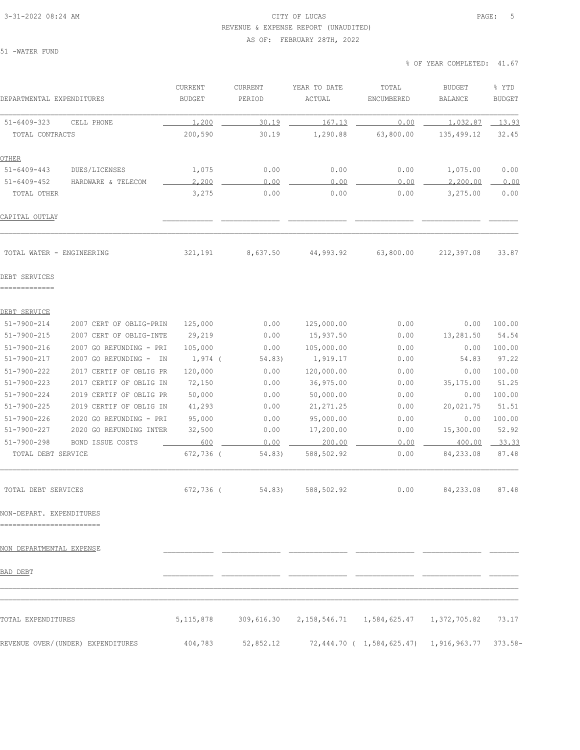#### 3-31-2022 08:24 AM CITY OF LUCAS PAGE: 5 REVENUE & EXPENSE REPORT (UNAUDITED)

### AS OF: FEBRUARY 28TH, 2022

51 -WATER FUND

| DEPARTMENTAL EXPENDITURES                             |                                   | CURRENT<br><b>BUDGET</b> | CURRENT<br>PERIOD | YEAR TO DATE<br>ACTUAL | TOTAL<br>ENCUMBERED                          | <b>BUDGET</b><br>BALANCE | % YTD<br><b>BUDGET</b> |
|-------------------------------------------------------|-----------------------------------|--------------------------|-------------------|------------------------|----------------------------------------------|--------------------------|------------------------|
| $51 - 6409 - 323$                                     | CELL PHONE                        | 1,200                    | 30.19             | 167.13                 | 0.00                                         | 1,032.87                 | 13.93                  |
| TOTAL CONTRACTS                                       |                                   | 200,590                  | 30.19             | 1,290.88               | 63,800.00                                    | 135,499.12               | 32.45                  |
| <b>OTHER</b>                                          |                                   |                          |                   |                        |                                              |                          |                        |
| $51 - 6409 - 443$                                     | DUES/LICENSES                     | 1,075                    | 0.00              | 0.00                   | 0.00                                         | 1,075.00                 | 0.00                   |
| $51 - 6409 - 452$                                     | HARDWARE & TELECOM                | 2,200                    | 0.00              | 0.00                   | 0.00                                         | 2,200.00                 | 0.00                   |
| TOTAL OTHER                                           |                                   | 3,275                    | 0.00              | 0.00                   | 0.00                                         | 3,275.00                 | 0.00                   |
| CAPITAL OUTLAY                                        |                                   |                          |                   |                        |                                              |                          |                        |
| TOTAL WATER - ENGINEERING                             |                                   | 321,191                  | 8,637.50          | 44,993.92              | 63,800.00                                    | 212,397.08               | 33.87                  |
| DEBT SERVICES<br>=============                        |                                   |                          |                   |                        |                                              |                          |                        |
| DEBT SERVICE                                          |                                   |                          |                   |                        |                                              |                          |                        |
| $51 - 7900 - 214$                                     | 2007 CERT OF OBLIG-PRIN           | 125,000                  | 0.00              | 125,000.00             | 0.00                                         | 0.00                     | 100.00                 |
| $51 - 7900 - 215$                                     | 2007 CERT OF OBLIG-INTE           | 29,219                   | 0.00              | 15,937.50              | 0.00                                         | 13,281.50                | 54.54                  |
| $51 - 7900 - 216$                                     | 2007 GO REFUNDING - PRI           | 105,000                  | 0.00              | 105,000.00             | 0.00                                         | 0.00                     | 100.00                 |
| $51 - 7900 - 217$                                     | 2007 GO REFUNDING -<br>IN         | $1,974$ (                | 54.83)            | 1,919.17               | 0.00                                         | 54.83                    | 97.22                  |
| $51 - 7900 - 222$                                     | 2017 CERTIF OF OBLIG PR           | 120,000                  | 0.00              | 120,000.00             | 0.00                                         | 0.00                     | 100.00                 |
| $51 - 7900 - 223$                                     | 2017 CERTIF OF OBLIG IN           | 72,150                   | 0.00              | 36,975.00              | 0.00                                         | 35,175.00                | 51.25                  |
| $51 - 7900 - 224$                                     | 2019 CERTIF OF OBLIG PR           | 50,000                   | 0.00              | 50,000.00              | 0.00                                         | 0.00                     | 100.00                 |
| $51 - 7900 - 225$                                     | 2019 CERTIF OF OBLIG IN           | 41,293                   | 0.00              | 21, 271.25             | 0.00                                         | 20,021.75                | 51.51                  |
| $51 - 7900 - 226$                                     | 2020 GO REFUNDING - PRI           | 95,000                   | 0.00              | 95,000.00              | 0.00                                         | 0.00                     | 100.00                 |
| $51 - 7900 - 227$                                     | 2020 GO REFUNDING INTER           | 32,500                   | 0.00              | 17,200.00              | 0.00                                         | 15,300.00                | 52.92                  |
| $51 - 7900 - 298$                                     | BOND ISSUE COSTS                  | 600                      | 0.00              | 200.00                 | 0.00                                         | 400.00                   | 33.33                  |
| TOTAL DEBT SERVICE                                    |                                   | 672,736 (                | 54.83)            | 588,502.92             | 0.00                                         | 84,233.08                | 87.48                  |
| TOTAL DEBT SERVICES                                   |                                   | 672,736 (                | 54.83)            | 588,502.92             | 0.00                                         | 84,233.08                | 87.48                  |
| NON-DEPART. EXPENDITURES<br>========================= |                                   |                          |                   |                        |                                              |                          |                        |
| <u>NON DEPARTMENTAL EXPENSE</u>                       |                                   |                          |                   |                        |                                              |                          |                        |
| BAD DEBT                                              |                                   |                          |                   |                        |                                              |                          |                        |
| TOTAL EXPENDITURES                                    |                                   | 5, 115, 878              | 309,616.30        |                        | 2, 158, 546.71 1, 584, 625.47 1, 372, 705.82 |                          | 73.17                  |
|                                                       |                                   |                          |                   |                        |                                              |                          |                        |
|                                                       | REVENUE OVER/(UNDER) EXPENDITURES | 404,783                  | 52,852.12         |                        | 72,444.70 ( 1,584,625.47) 1,916,963.77       |                          | $373.58-$              |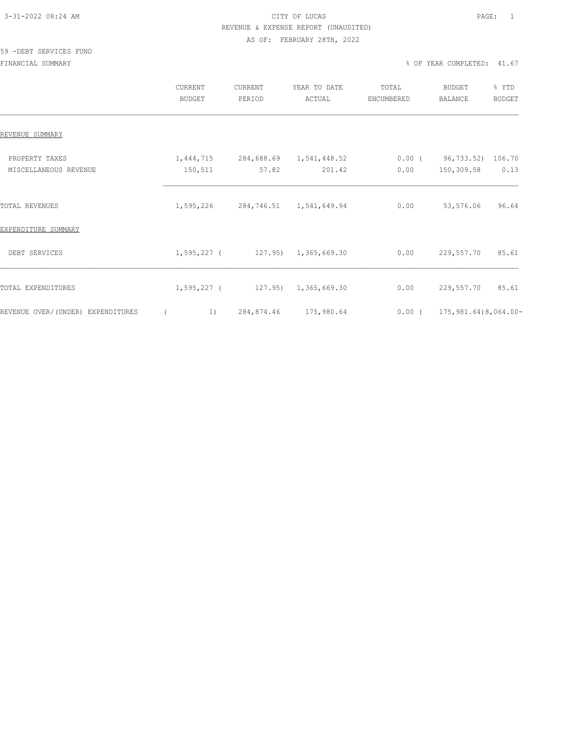# 3-31-2022 08:24 AM CITY OF LUCAS PAGE: 1 REVENUE & EXPENSE REPORT (UNAUDITED)

#### AS OF: FEBRUARY 28TH, 2022

#### 59 -DEBT SERVICES FUND

|                                         | CURRENT<br><b>BUDGET</b> |                                             | CURRENT<br>PERIOD |                                  | YEAR TO DATE<br>ACTUAL |                      | TOTAL<br>ENCUMBERED |                                       | <b>BUDGET</b><br>BALANCE | % YTD<br><b>BUDGET</b> |       |
|-----------------------------------------|--------------------------|---------------------------------------------|-------------------|----------------------------------|------------------------|----------------------|---------------------|---------------------------------------|--------------------------|------------------------|-------|
| REVENUE SUMMARY                         |                          |                                             |                   |                                  |                        |                      |                     |                                       |                          |                        |       |
| PROPERTY TAXES<br>MISCELLANEOUS REVENUE |                          | 1,444,715<br>150,511                        |                   | 284,688.69 1,541,448.52<br>57.82 |                        | 201.42               |                     | $0.00$ ( $96,733.52$ ) 106.70<br>0.00 | 150,309.58               |                        | 0.13  |
| TOTAL REVENUES                          |                          | 1,595,226                                   |                   | 284,746.51 1,541,649.94          |                        |                      |                     | 0.00                                  | 53,576.06                |                        | 96.64 |
| EXPENDITURE SUMMARY                     |                          |                                             |                   |                                  |                        |                      |                     |                                       |                          |                        |       |
| DEBT SERVICES                           |                          | $1, 595, 227$ ( $127.95$ ) $1, 365, 669.30$ |                   |                                  |                        |                      |                     | 0.00                                  | 229,557.70               |                        | 85.61 |
| TOTAL EXPENDITURES                      |                          | 1,595,227 (                                 |                   |                                  |                        | 127.95) 1,365,669.30 |                     | 0.00                                  | 229,557.70               |                        | 85.61 |
| REVENUE OVER/(UNDER) EXPENDITURES       |                          | 1)                                          |                   | 284,874.46 175,980.64            |                        |                      |                     | $0.00$ ( 175, 981.64) 8, 064.00-      |                          |                        |       |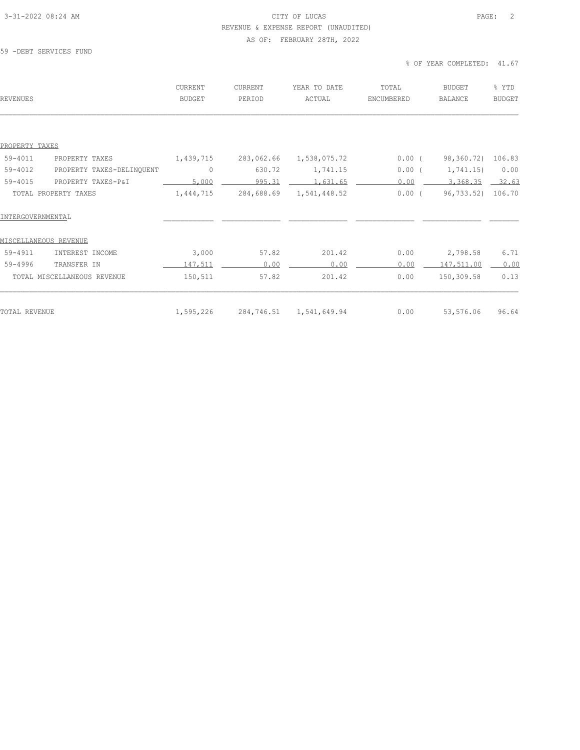#### 3-31-2022 08:24 AM CITY OF LUCAS PAGE: 2 REVENUE & EXPENSE REPORT (UNAUDITED)

### AS OF: FEBRUARY 28TH, 2022

#### 59 -DEBT SERVICES FUND

| <b>REVENUES</b>                      | <b>CURRENT</b><br><b>BUDGET</b> | CURRENT<br>PERIOD | YEAR TO DATE<br>ACTUAL | TOTAL<br>ENCUMBERED | <b>BUDGET</b><br><b>BALANCE</b> | % YTD<br><b>BUDGET</b> |
|--------------------------------------|---------------------------------|-------------------|------------------------|---------------------|---------------------------------|------------------------|
|                                      |                                 |                   |                        |                     |                                 |                        |
| PROPERTY TAXES                       |                                 |                   |                        |                     |                                 |                        |
| 59-4011<br>PROPERTY TAXES            | 1,439,715                       | 283,062.66        | 1,538,075.72           | $0.00$ (            | 98,360.72)                      | 106.83                 |
| 59-4012<br>PROPERTY TAXES-DELINQUENT | $\circ$                         | 630.72            | 1,741.15               | 0.00(               | 1,741.15)                       | 0.00                   |
| $59 - 4015$<br>PROPERTY TAXES-P&I    | 5,000                           | 995.31            | 1,631.65               | 0.00                | 3,368.35                        | 32.63                  |
| TOTAL PROPERTY TAXES                 | 1,444,715                       | 284,688.69        | 1,541,448.52           | $0.00$ (            | 96,733.52)                      | 106.70                 |
| INTERGOVERNMENTAL                    |                                 |                   |                        |                     |                                 |                        |
| MISCELLANEOUS REVENUE                |                                 |                   |                        |                     |                                 |                        |
| 59-4911<br>INTEREST INCOME           | 3,000                           | 57.82             | 201.42                 | 0.00                | 2,798.58                        | 6.71                   |
| $59 - 4996$<br>TRANSFER IN           | 147,511                         | 0.00              | 0.00                   | 0.00                | 147,511.00                      | 0.00                   |
| TOTAL MISCELLANEOUS REVENUE          | 150,511                         | 57.82             | 201.42                 | 0.00                | 150,309.58                      | 0.13                   |
| <b>TOTAL REVENUE</b>                 | 1,595,226                       | 284,746.51        | 1,541,649.94           | 0.00                | 53,576.06                       | 96.64                  |